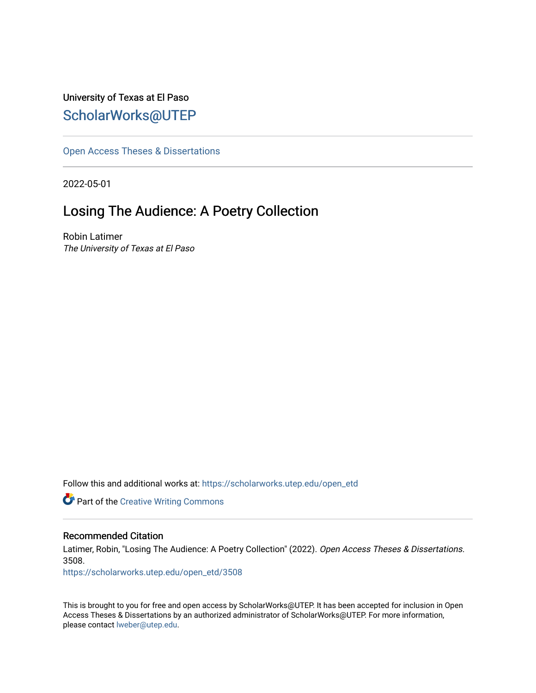# University of Texas at El Paso [ScholarWorks@UTEP](https://scholarworks.utep.edu/)

[Open Access Theses & Dissertations](https://scholarworks.utep.edu/open_etd) 

2022-05-01

# Losing The Audience: A Poetry Collection

Robin Latimer The University of Texas at El Paso

Follow this and additional works at: [https://scholarworks.utep.edu/open\\_etd](https://scholarworks.utep.edu/open_etd?utm_source=scholarworks.utep.edu%2Fopen_etd%2F3508&utm_medium=PDF&utm_campaign=PDFCoverPages)

**Part of the Creative Writing Commons** 

#### Recommended Citation

Latimer, Robin, "Losing The Audience: A Poetry Collection" (2022). Open Access Theses & Dissertations. 3508.

[https://scholarworks.utep.edu/open\\_etd/3508](https://scholarworks.utep.edu/open_etd/3508?utm_source=scholarworks.utep.edu%2Fopen_etd%2F3508&utm_medium=PDF&utm_campaign=PDFCoverPages) 

This is brought to you for free and open access by ScholarWorks@UTEP. It has been accepted for inclusion in Open Access Theses & Dissertations by an authorized administrator of ScholarWorks@UTEP. For more information, please contact [lweber@utep.edu.](mailto:lweber@utep.edu)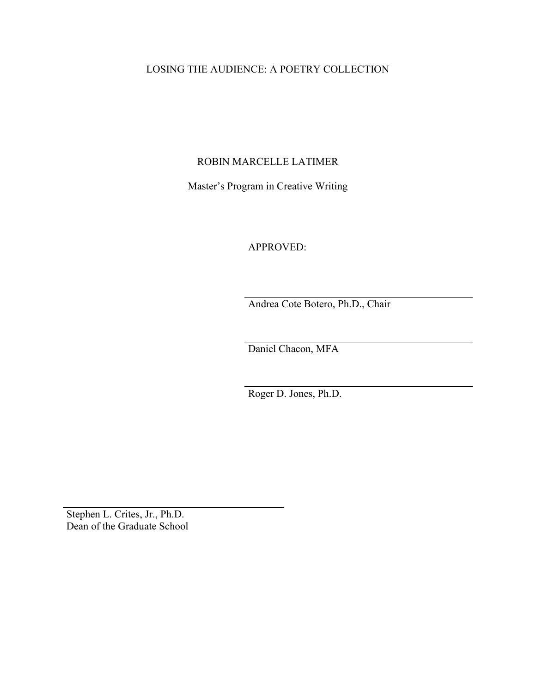# LOSING THE AUDIENCE: A POETRY COLLECTION

### ROBIN MARCELLE LATIMER

Master's Program in Creative Writing

APPROVED:

Andrea Cote Botero, Ph.D., Chair

Daniel Chacon, MFA

Roger D. Jones, Ph.D.

Stephen L. Crites, Jr., Ph.D. Dean of the Graduate School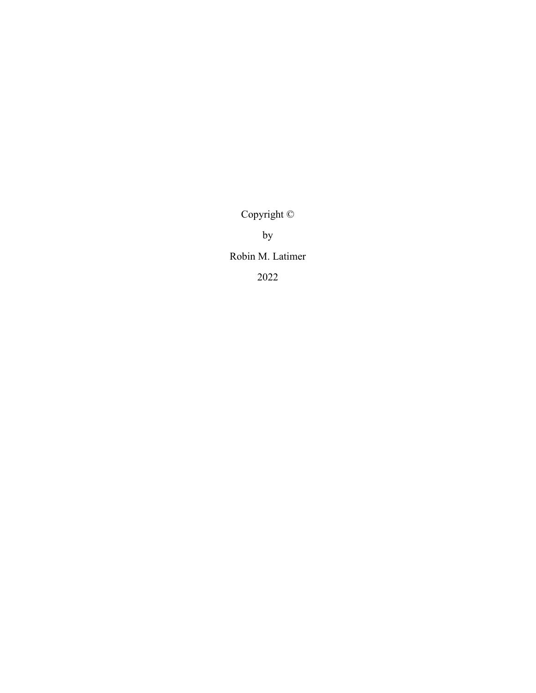Copyright ©

by

Robin M. Latimer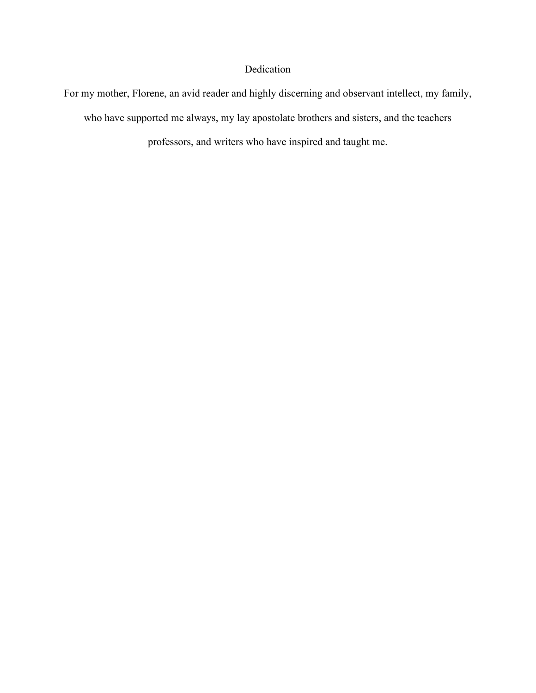# Dedication

For my mother, Florene, an avid reader and highly discerning and observant intellect, my family, who have supported me always, my lay apostolate brothers and sisters, and the teachers professors, and writers who have inspired and taught me.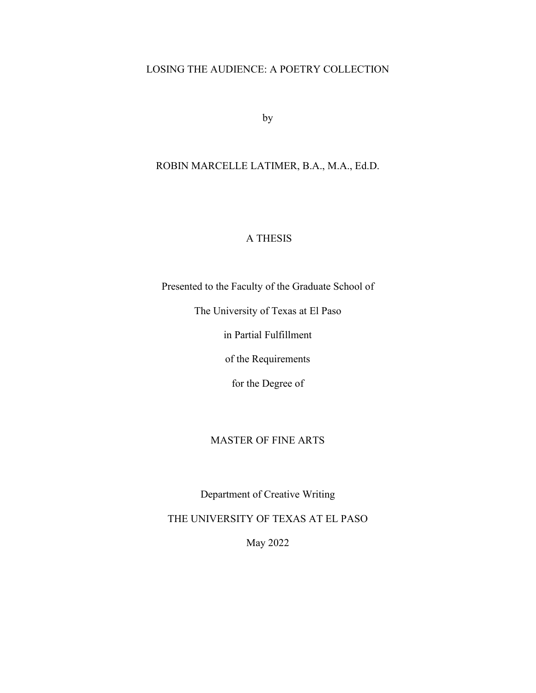### LOSING THE AUDIENCE: A POETRY COLLECTION

by

### ROBIN MARCELLE LATIMER, B.A., M.A., Ed.D.

## A THESIS

Presented to the Faculty of the Graduate School of

The University of Texas at El Paso

in Partial Fulfillment

of the Requirements

for the Degree of

### MASTER OF FINE ARTS

Department of Creative Writing

THE UNIVERSITY OF TEXAS AT EL PASO

May 2022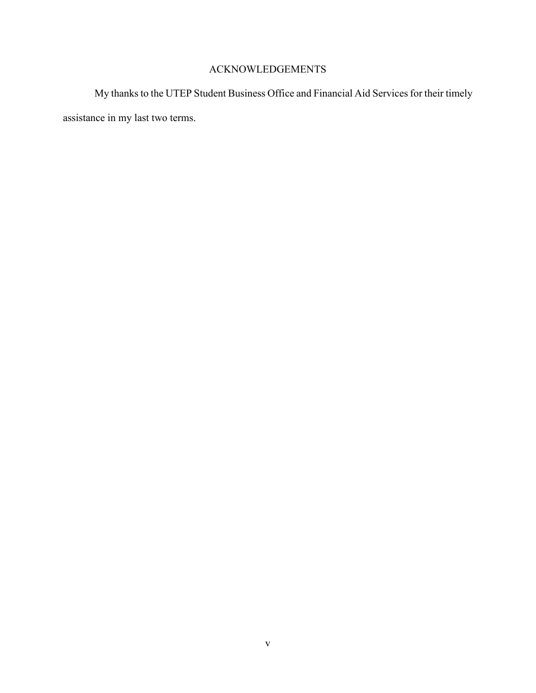# ACKNOWLEDGEMENTS

My thanks to the UTEP Student Business Office and Financial Aid Services for their timely assistance in my last two terms.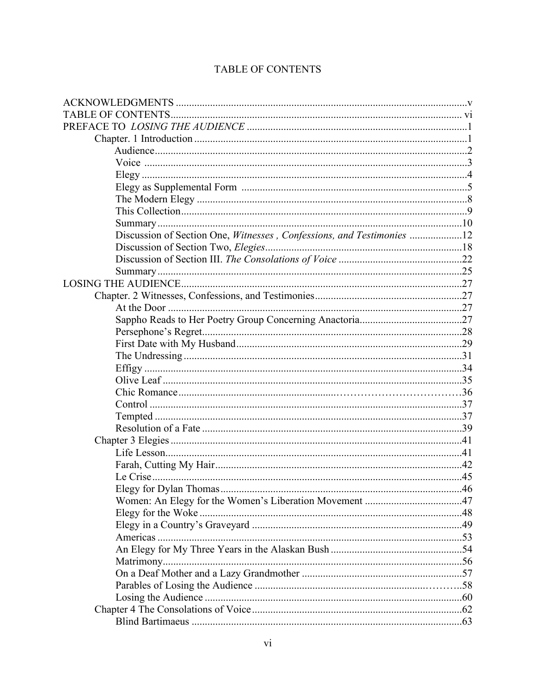| Discussion of Section One, Witnesses, Confessions, and Testimonies 12 |  |
|-----------------------------------------------------------------------|--|
|                                                                       |  |
|                                                                       |  |
|                                                                       |  |
|                                                                       |  |
|                                                                       |  |
|                                                                       |  |
|                                                                       |  |
|                                                                       |  |
|                                                                       |  |
|                                                                       |  |
|                                                                       |  |
|                                                                       |  |
|                                                                       |  |
|                                                                       |  |
|                                                                       |  |
|                                                                       |  |
|                                                                       |  |
|                                                                       |  |
|                                                                       |  |
|                                                                       |  |
| Elegy for Dylan Thomas                                                |  |
|                                                                       |  |
|                                                                       |  |
|                                                                       |  |
|                                                                       |  |
|                                                                       |  |
|                                                                       |  |
|                                                                       |  |
|                                                                       |  |
|                                                                       |  |
|                                                                       |  |
|                                                                       |  |

# TABLE OF CONTENTS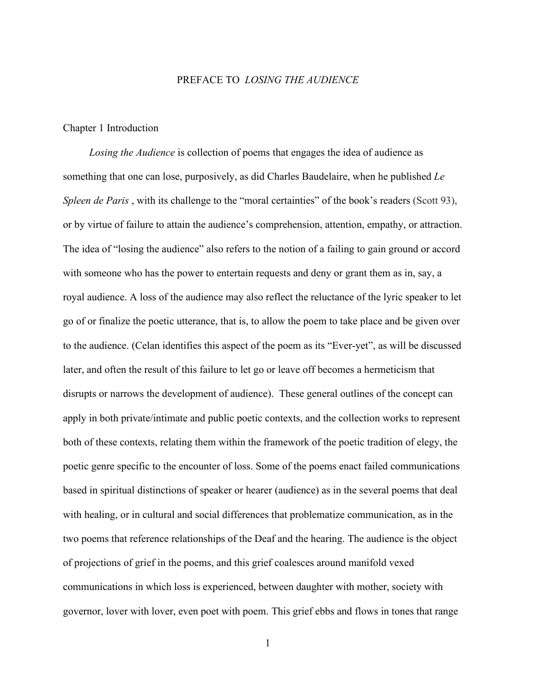#### PREFACE TO *LOSING THE AUDIENCE*

#### Chapter 1 Introduction

 *Losing the Audience* is collection of poems that engages the idea of audience as something that one can lose, purposively, as did Charles Baudelaire, when he published *Le Spleen de Paris*, with its challenge to the "moral certainties" of the book's readers (Scott 93), or by virtue of failure to attain the audience's comprehension, attention, empathy, or attraction. The idea of "losing the audience" also refers to the notion of a failing to gain ground or accord with someone who has the power to entertain requests and deny or grant them as in, say, a royal audience. A loss of the audience may also reflect the reluctance of the lyric speaker to let go of or finalize the poetic utterance, that is, to allow the poem to take place and be given over to the audience. (Celan identifies this aspect of the poem as its "Ever-yet", as will be discussed later, and often the result of this failure to let go or leave off becomes a hermeticism that disrupts or narrows the development of audience). These general outlines of the concept can apply in both private/intimate and public poetic contexts, and the collection works to represent both of these contexts, relating them within the framework of the poetic tradition of elegy, the poetic genre specific to the encounter of loss. Some of the poems enact failed communications based in spiritual distinctions of speaker or hearer (audience) as in the several poems that deal with healing, or in cultural and social differences that problematize communication, as in the two poems that reference relationships of the Deaf and the hearing. The audience is the object of projections of grief in the poems, and this grief coalesces around manifold vexed communications in which loss is experienced, between daughter with mother, society with governor, lover with lover, even poet with poem. This grief ebbs and flows in tones that range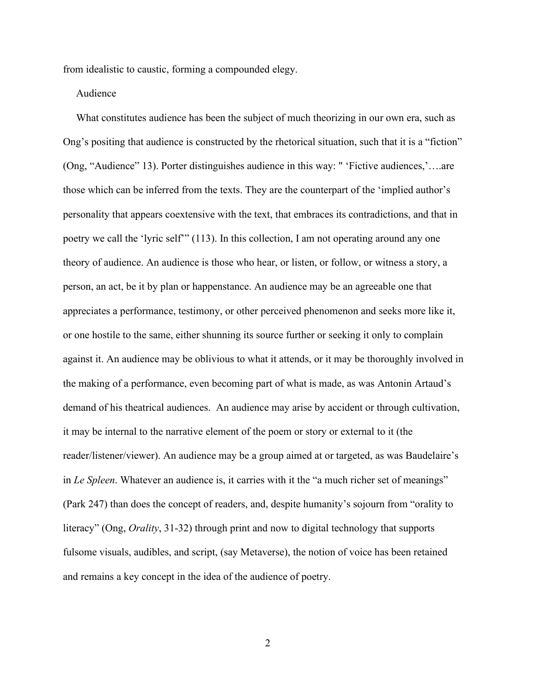from idealistic to caustic, forming a compounded elegy.

#### Audience

 What constitutes audience has been the subject of much theorizing in our own era, such as Ong's positing that audience is constructed by the rhetorical situation, such that it is a "fiction" (Ong, "Audience" 13). Porter distinguishes audience in this way: " 'Fictive audiences,'….are those which can be inferred from the texts. They are the counterpart of the 'implied author's personality that appears coextensive with the text, that embraces its contradictions, and that in poetry we call the 'lyric self'" (113). In this collection, I am not operating around any one theory of audience. An audience is those who hear, or listen, or follow, or witness a story, a person, an act, be it by plan or happenstance. An audience may be an agreeable one that appreciates a performance, testimony, or other perceived phenomenon and seeks more like it, or one hostile to the same, either shunning its source further or seeking it only to complain against it. An audience may be oblivious to what it attends, or it may be thoroughly involved in the making of a performance, even becoming part of what is made, as was Antonin Artaud's demand of his theatrical audiences. An audience may arise by accident or through cultivation, it may be internal to the narrative element of the poem or story or external to it (the reader/listener/viewer). An audience may be a group aimed at or targeted, as was Baudelaire's in *Le Spleen*. Whatever an audience is, it carries with it the "a much richer set of meanings" (Park 247) than does the concept of readers, and, despite humanity's sojourn from "orality to literacy" (Ong, *Orality*, 31-32) through print and now to digital technology that supports fulsome visuals, audibles, and script, (say Metaverse), the notion of voice has been retained and remains a key concept in the idea of the audience of poetry.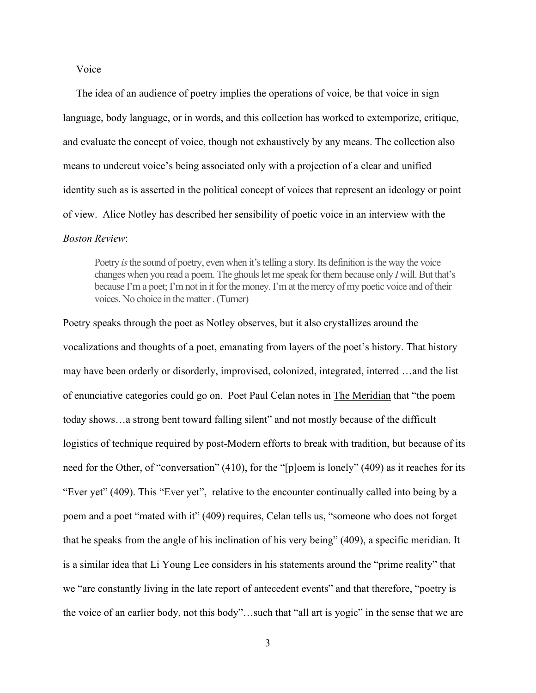#### Voice

 The idea of an audience of poetry implies the operations of voice, be that voice in sign language, body language, or in words, and this collection has worked to extemporize, critique, and evaluate the concept of voice, though not exhaustively by any means. The collection also means to undercut voice's being associated only with a projection of a clear and unified identity such as is asserted in the political concept of voices that represent an ideology or point of view. Alice Notley has described her sensibility of poetic voice in an interview with the *Boston Review*:

Poetry *is*the sound of poetry, even when it's telling a story. Its definition is the way the voice changes when you read a poem. The ghouls let me speak for them because only *I* will. But that's because I'm a poet; I'm not in it for the money. I'm at the mercy of my poetic voice and of their voices. No choice in the matter. (Turner)

Poetry speaks through the poet as Notley observes, but it also crystallizes around the vocalizations and thoughts of a poet, emanating from layers of the poet's history. That history may have been orderly or disorderly, improvised, colonized, integrated, interred …and the list of enunciative categories could go on. Poet Paul Celan notes in The Meridian that "the poem today shows…a strong bent toward falling silent" and not mostly because of the difficult logistics of technique required by post-Modern efforts to break with tradition, but because of its need for the Other, of "conversation" (410), for the "[p]oem is lonely" (409) as it reaches for its "Ever yet" (409). This "Ever yet", relative to the encounter continually called into being by a poem and a poet "mated with it" (409) requires, Celan tells us, "someone who does not forget that he speaks from the angle of his inclination of his very being" (409), a specific meridian. It is a similar idea that Li Young Lee considers in his statements around the "prime reality" that we "are constantly living in the late report of antecedent events" and that therefore, "poetry is the voice of an earlier body, not this body"…such that "all art is yogic" in the sense that we are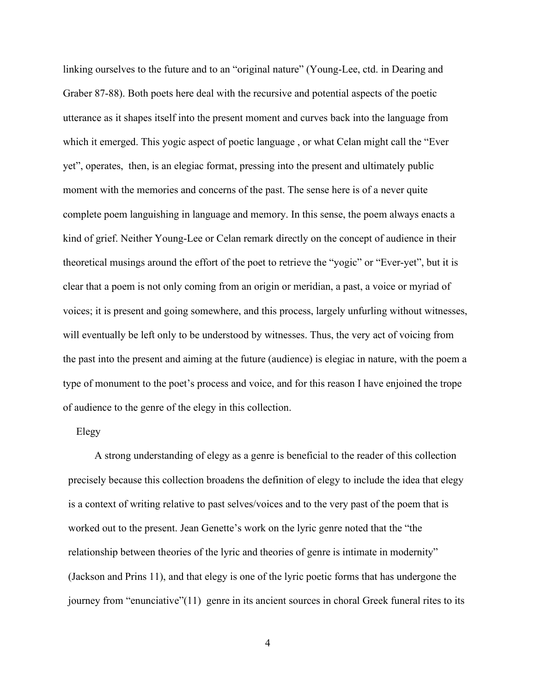linking ourselves to the future and to an "original nature" (Young-Lee, ctd. in Dearing and Graber 87-88). Both poets here deal with the recursive and potential aspects of the poetic utterance as it shapes itself into the present moment and curves back into the language from which it emerged. This yogic aspect of poetic language , or what Celan might call the "Ever yet", operates, then, is an elegiac format, pressing into the present and ultimately public moment with the memories and concerns of the past. The sense here is of a never quite complete poem languishing in language and memory. In this sense, the poem always enacts a kind of grief. Neither Young-Lee or Celan remark directly on the concept of audience in their theoretical musings around the effort of the poet to retrieve the "yogic" or "Ever-yet", but it is clear that a poem is not only coming from an origin or meridian, a past, a voice or myriad of voices; it is present and going somewhere, and this process, largely unfurling without witnesses, will eventually be left only to be understood by witnesses. Thus, the very act of voicing from the past into the present and aiming at the future (audience) is elegiac in nature, with the poem a type of monument to the poet's process and voice, and for this reason I have enjoined the trope of audience to the genre of the elegy in this collection.

#### Elegy

 A strong understanding of elegy as a genre is beneficial to the reader of this collection precisely because this collection broadens the definition of elegy to include the idea that elegy is a context of writing relative to past selves/voices and to the very past of the poem that is worked out to the present. Jean Genette's work on the lyric genre noted that the "the relationship between theories of the lyric and theories of genre is intimate in modernity" (Jackson and Prins 11), and that elegy is one of the lyric poetic forms that has undergone the journey from "enunciative"(11) genre in its ancient sources in choral Greek funeral rites to its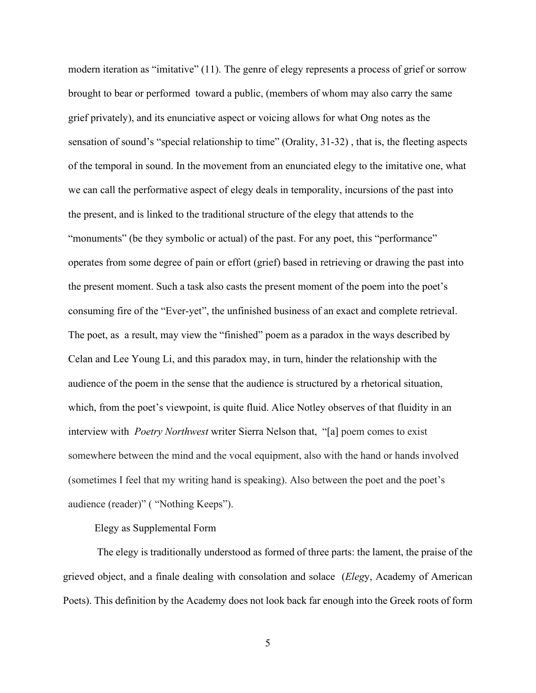modern iteration as "imitative" (11). The genre of elegy represents a process of grief or sorrow brought to bear or performed toward a public, (members of whom may also carry the same grief privately), and its enunciative aspect or voicing allows for what Ong notes as the sensation of sound's "special relationship to time" (Orality, 31-32) , that is, the fleeting aspects of the temporal in sound. In the movement from an enunciated elegy to the imitative one, what we can call the performative aspect of elegy deals in temporality, incursions of the past into the present, and is linked to the traditional structure of the elegy that attends to the "monuments" (be they symbolic or actual) of the past. For any poet, this "performance" operates from some degree of pain or effort (grief) based in retrieving or drawing the past into the present moment. Such a task also casts the present moment of the poem into the poet's consuming fire of the "Ever-yet", the unfinished business of an exact and complete retrieval. The poet, as a result, may view the "finished" poem as a paradox in the ways described by Celan and Lee Young Li, and this paradox may, in turn, hinder the relationship with the audience of the poem in the sense that the audience is structured by a rhetorical situation, which, from the poet's viewpoint, is quite fluid. Alice Notley observes of that fluidity in an interview with *Poetry Northwest* writer Sierra Nelson that, "[a] poem comes to exist somewhere between the mind and the vocal equipment, also with the hand or hands involved (sometimes I feel that my writing hand is speaking). Also between the poet and the poet's audience (reader)" ( "Nothing Keeps").

Elegy as Supplemental Form

The elegy is traditionally understood as formed of three parts: the lament, the praise of the grieved object, and a finale dealing with consolation and solace (*Eleg*y, Academy of American Poets). This definition by the Academy does not look back far enough into the Greek roots of form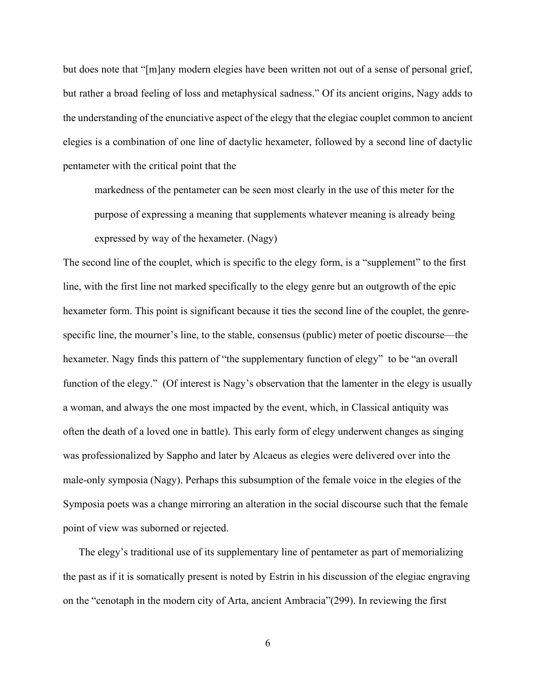but does note that "[m]any modern elegies have been written not out of a sense of personal grief, but rather a broad feeling of loss and metaphysical sadness." Of its ancient origins, Nagy adds to the understanding of the enunciative aspect of the elegy that the elegiac couplet common to ancient elegies is a combination of one line of dactylic hexameter, followed by a second line of dactylic pentameter with the critical point that the

markedness of the pentameter can be seen most clearly in the use of this meter for the purpose of expressing a meaning that supplements whatever meaning is already being expressed by way of the hexameter. (Nagy)

The second line of the couplet, which is specific to the elegy form, is a "supplement" to the first line, with the first line not marked specifically to the elegy genre but an outgrowth of the epic hexameter form. This point is significant because it ties the second line of the couplet, the genrespecific line, the mourner's line, to the stable, consensus (public) meter of poetic discourse—the hexameter. Nagy finds this pattern of "the supplementary function of elegy" to be "an overall function of the elegy." (Of interest is Nagy's observation that the lamenter in the elegy is usually a woman, and always the one most impacted by the event, which, in Classical antiquity was often the death of a loved one in battle). This early form of elegy underwent changes as singing was professionalized by Sappho and later by Alcaeus as elegies were delivered over into the male-only symposia (Nagy). Perhaps this subsumption of the female voice in the elegies of the Symposia poets was a change mirroring an alteration in the social discourse such that the female point of view was suborned or rejected.

 The elegy's traditional use of its supplementary line of pentameter as part of memorializing the past as if it is somatically present is noted by Estrin in his discussion of the elegiac engraving on the "cenotaph in the modern city of Arta, ancient Ambracia"(299). In reviewing the first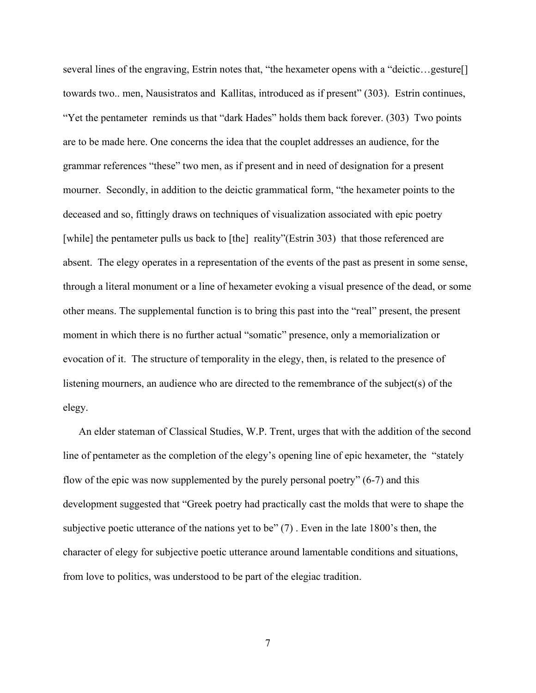several lines of the engraving, Estrin notes that, "the hexameter opens with a "deictic...gesture[] towards two.. men, Nausistratos and Kallitas, introduced as if present" (303). Estrin continues, "Yet the pentameter reminds us that "dark Hades" holds them back forever. (303) Two points are to be made here. One concerns the idea that the couplet addresses an audience, for the grammar references "these" two men, as if present and in need of designation for a present mourner. Secondly, in addition to the deictic grammatical form, "the hexameter points to the deceased and so, fittingly draws on techniques of visualization associated with epic poetry [while] the pentameter pulls us back to [the] reality"(Estrin 303) that those referenced are absent. The elegy operates in a representation of the events of the past as present in some sense, through a literal monument or a line of hexameter evoking a visual presence of the dead, or some other means. The supplemental function is to bring this past into the "real" present, the present moment in which there is no further actual "somatic" presence, only a memorialization or evocation of it. The structure of temporality in the elegy, then, is related to the presence of listening mourners, an audience who are directed to the remembrance of the subject(s) of the elegy.

 An elder stateman of Classical Studies, W.P. Trent, urges that with the addition of the second line of pentameter as the completion of the elegy's opening line of epic hexameter, the "stately flow of the epic was now supplemented by the purely personal poetry" (6-7) and this development suggested that "Greek poetry had practically cast the molds that were to shape the subjective poetic utterance of the nations yet to be" (7) . Even in the late 1800's then, the character of elegy for subjective poetic utterance around lamentable conditions and situations, from love to politics, was understood to be part of the elegiac tradition.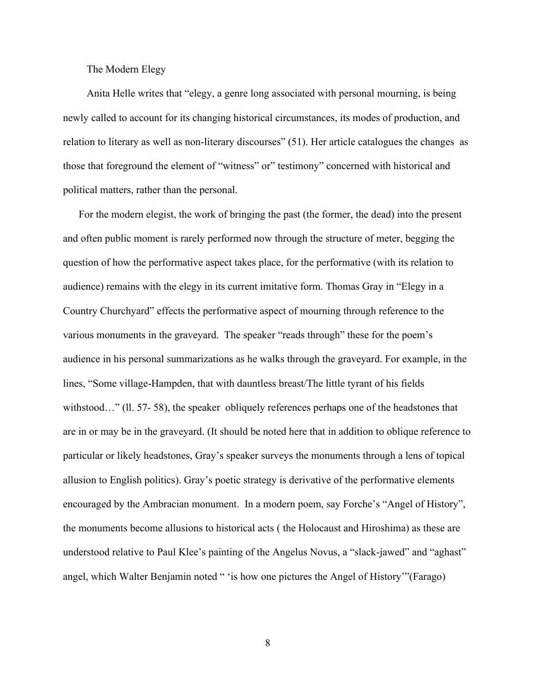#### The Modern Elegy

 Anita Helle writes that "elegy, a genre long associated with personal mourning, is being newly called to account for its changing historical circumstances, its modes of production, and relation to literary as well as non-literary discourses" (51). Her article catalogues the changes as those that foreground the element of "witness" or" testimony" concerned with historical and political matters, rather than the personal.

 For the modern elegist, the work of bringing the past (the former, the dead) into the present and often public moment is rarely performed now through the structure of meter, begging the question of how the performative aspect takes place, for the performative (with its relation to audience) remains with the elegy in its current imitative form. Thomas Gray in "Elegy in a Country Churchyard" effects the performative aspect of mourning through reference to the various monuments in the graveyard. The speaker "reads through" these for the poem's audience in his personal summarizations as he walks through the graveyard. For example, in the lines, "Some village-Hampden, that with dauntless breast/The little tyrant of his fields withstood..." (11. 57- 58), the speaker obliquely references perhaps one of the headstones that are in or may be in the graveyard. (It should be noted here that in addition to oblique reference to particular or likely headstones, Gray's speaker surveys the monuments through a lens of topical allusion to English politics). Gray's poetic strategy is derivative of the performative elements encouraged by the Ambracian monument. In a modern poem, say Forche's "Angel of History", the monuments become allusions to historical acts ( the Holocaust and Hiroshima) as these are understood relative to Paul Klee's painting of the Angelus Novus, a "slack-jawed" and "aghast" angel, which Walter Benjamin noted " 'is how one pictures the Angel of History'"(Farago)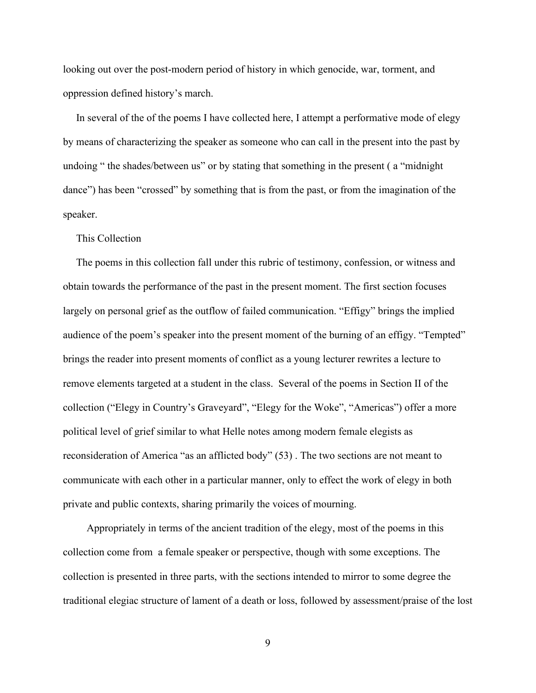looking out over the post-modern period of history in which genocide, war, torment, and oppression defined history's march.

 In several of the of the poems I have collected here, I attempt a performative mode of elegy by means of characterizing the speaker as someone who can call in the present into the past by undoing " the shades/between us" or by stating that something in the present ( a "midnight dance") has been "crossed" by something that is from the past, or from the imagination of the speaker.

#### This Collection

 The poems in this collection fall under this rubric of testimony, confession, or witness and obtain towards the performance of the past in the present moment. The first section focuses largely on personal grief as the outflow of failed communication. "Effigy" brings the implied audience of the poem's speaker into the present moment of the burning of an effigy. "Tempted" brings the reader into present moments of conflict as a young lecturer rewrites a lecture to remove elements targeted at a student in the class. Several of the poems in Section II of the collection ("Elegy in Country's Graveyard", "Elegy for the Woke", "Americas") offer a more political level of grief similar to what Helle notes among modern female elegists as reconsideration of America "as an afflicted body" (53) . The two sections are not meant to communicate with each other in a particular manner, only to effect the work of elegy in both private and public contexts, sharing primarily the voices of mourning.

 Appropriately in terms of the ancient tradition of the elegy, most of the poems in this collection come from a female speaker or perspective, though with some exceptions. The collection is presented in three parts, with the sections intended to mirror to some degree the traditional elegiac structure of lament of a death or loss, followed by assessment/praise of the lost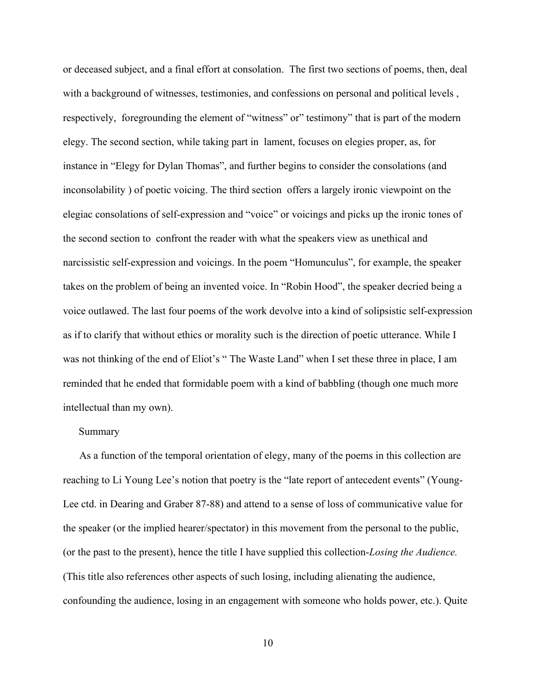or deceased subject, and a final effort at consolation. The first two sections of poems, then, deal with a background of witnesses, testimonies, and confessions on personal and political levels , respectively, foregrounding the element of "witness" or" testimony" that is part of the modern elegy. The second section, while taking part in lament, focuses on elegies proper, as, for instance in "Elegy for Dylan Thomas", and further begins to consider the consolations (and inconsolability ) of poetic voicing. The third section offers a largely ironic viewpoint on the elegiac consolations of self-expression and "voice" or voicings and picks up the ironic tones of the second section to confront the reader with what the speakers view as unethical and narcissistic self-expression and voicings. In the poem "Homunculus", for example, the speaker takes on the problem of being an invented voice. In "Robin Hood", the speaker decried being a voice outlawed. The last four poems of the work devolve into a kind of solipsistic self-expression as if to clarify that without ethics or morality such is the direction of poetic utterance. While I was not thinking of the end of Eliot's " The Waste Land" when I set these three in place, I am reminded that he ended that formidable poem with a kind of babbling (though one much more intellectual than my own).

#### Summary

As a function of the temporal orientation of elegy, many of the poems in this collection are reaching to Li Young Lee's notion that poetry is the "late report of antecedent events" (Young-Lee ctd. in Dearing and Graber 87-88) and attend to a sense of loss of communicative value for the speaker (or the implied hearer/spectator) in this movement from the personal to the public, (or the past to the present), hence the title I have supplied this collection-*Losing the Audience.* (This title also references other aspects of such losing, including alienating the audience, confounding the audience, losing in an engagement with someone who holds power, etc.). Quite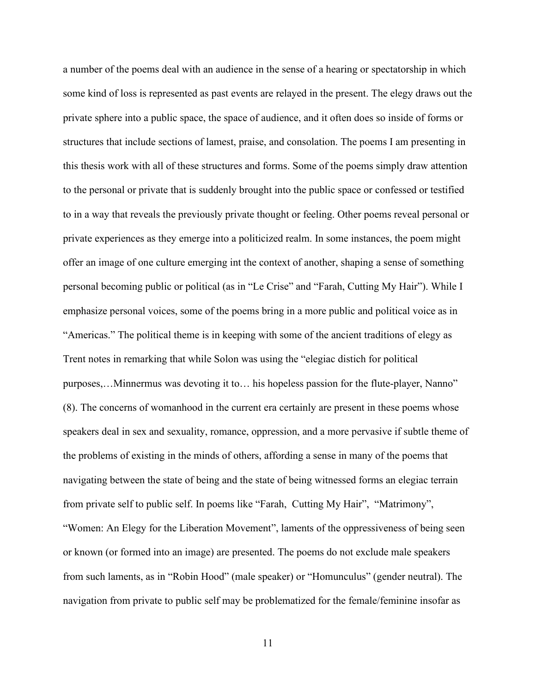a number of the poems deal with an audience in the sense of a hearing or spectatorship in which some kind of loss is represented as past events are relayed in the present. The elegy draws out the private sphere into a public space, the space of audience, and it often does so inside of forms or structures that include sections of lamest, praise, and consolation. The poems I am presenting in this thesis work with all of these structures and forms. Some of the poems simply draw attention to the personal or private that is suddenly brought into the public space or confessed or testified to in a way that reveals the previously private thought or feeling. Other poems reveal personal or private experiences as they emerge into a politicized realm. In some instances, the poem might offer an image of one culture emerging int the context of another, shaping a sense of something personal becoming public or political (as in "Le Crise" and "Farah, Cutting My Hair"). While I emphasize personal voices, some of the poems bring in a more public and political voice as in "Americas." The political theme is in keeping with some of the ancient traditions of elegy as Trent notes in remarking that while Solon was using the "elegiac distich for political purposes,…Minnermus was devoting it to… his hopeless passion for the flute-player, Nanno" (8). The concerns of womanhood in the current era certainly are present in these poems whose speakers deal in sex and sexuality, romance, oppression, and a more pervasive if subtle theme of the problems of existing in the minds of others, affording a sense in many of the poems that navigating between the state of being and the state of being witnessed forms an elegiac terrain from private self to public self. In poems like "Farah, Cutting My Hair", "Matrimony", "Women: An Elegy for the Liberation Movement", laments of the oppressiveness of being seen or known (or formed into an image) are presented. The poems do not exclude male speakers from such laments, as in "Robin Hood" (male speaker) or "Homunculus" (gender neutral). The navigation from private to public self may be problematized for the female/feminine insofar as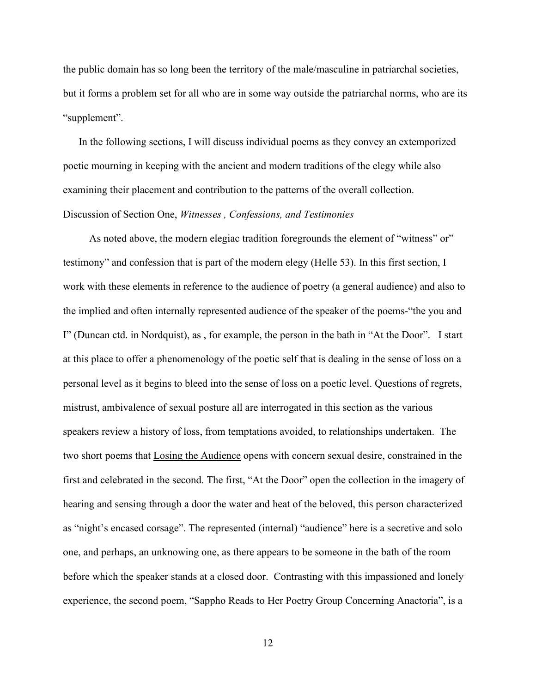the public domain has so long been the territory of the male/masculine in patriarchal societies, but it forms a problem set for all who are in some way outside the patriarchal norms, who are its "supplement".

 In the following sections, I will discuss individual poems as they convey an extemporized poetic mourning in keeping with the ancient and modern traditions of the elegy while also examining their placement and contribution to the patterns of the overall collection. Discussion of Section One, *Witnesses , Confessions, and Testimonies* 

As noted above, the modern elegiac tradition foregrounds the element of "witness" or" testimony" and confession that is part of the modern elegy (Helle 53). In this first section, I work with these elements in reference to the audience of poetry (a general audience) and also to the implied and often internally represented audience of the speaker of the poems-"the you and I" (Duncan ctd. in Nordquist), as , for example, the person in the bath in "At the Door". I start at this place to offer a phenomenology of the poetic self that is dealing in the sense of loss on a personal level as it begins to bleed into the sense of loss on a poetic level. Questions of regrets, mistrust, ambivalence of sexual posture all are interrogated in this section as the various speakers review a history of loss, from temptations avoided, to relationships undertaken. The two short poems that Losing the Audience opens with concern sexual desire, constrained in the first and celebrated in the second. The first, "At the Door" open the collection in the imagery of hearing and sensing through a door the water and heat of the beloved, this person characterized as "night's encased corsage". The represented (internal) "audience" here is a secretive and solo one, and perhaps, an unknowing one, as there appears to be someone in the bath of the room before which the speaker stands at a closed door. Contrasting with this impassioned and lonely experience, the second poem, "Sappho Reads to Her Poetry Group Concerning Anactoria", is a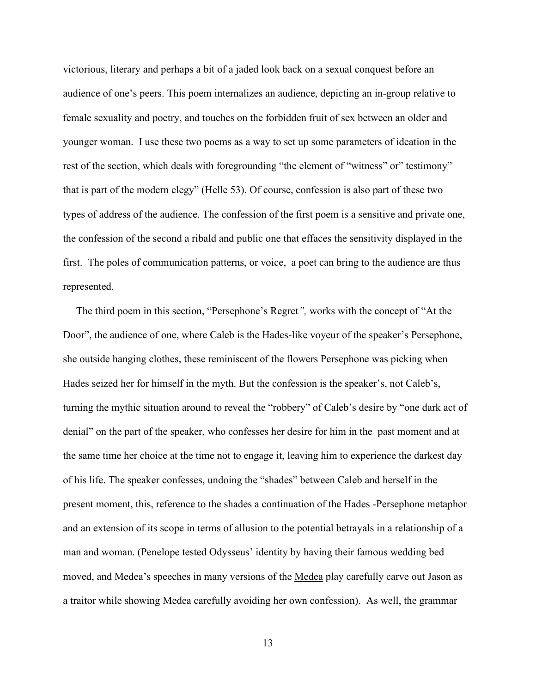victorious, literary and perhaps a bit of a jaded look back on a sexual conquest before an audience of one's peers. This poem internalizes an audience, depicting an in-group relative to female sexuality and poetry, and touches on the forbidden fruit of sex between an older and younger woman. I use these two poems as a way to set up some parameters of ideation in the rest of the section, which deals with foregrounding "the element of "witness" or" testimony" that is part of the modern elegy" (Helle 53). Of course, confession is also part of these two types of address of the audience. The confession of the first poem is a sensitive and private one, the confession of the second a ribald and public one that effaces the sensitivity displayed in the first. The poles of communication patterns, or voice, a poet can bring to the audience are thus represented.

 The third poem in this section, "Persephone's Regret*",* works with the concept of "At the Door", the audience of one, where Caleb is the Hades-like voyeur of the speaker's Persephone, she outside hanging clothes, these reminiscent of the flowers Persephone was picking when Hades seized her for himself in the myth. But the confession is the speaker's, not Caleb's, turning the mythic situation around to reveal the "robbery" of Caleb's desire by "one dark act of denial" on the part of the speaker, who confesses her desire for him in the past moment and at the same time her choice at the time not to engage it, leaving him to experience the darkest day of his life. The speaker confesses, undoing the "shades" between Caleb and herself in the present moment, this, reference to the shades a continuation of the Hades -Persephone metaphor and an extension of its scope in terms of allusion to the potential betrayals in a relationship of a man and woman. (Penelope tested Odysseus' identity by having their famous wedding bed moved, and Medea's speeches in many versions of the Medea play carefully carve out Jason as a traitor while showing Medea carefully avoiding her own confession). As well, the grammar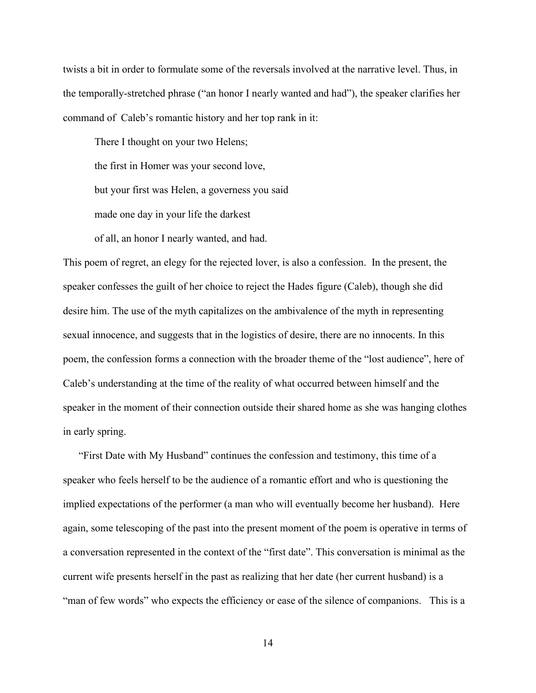twists a bit in order to formulate some of the reversals involved at the narrative level. Thus, in the temporally-stretched phrase ("an honor I nearly wanted and had"), the speaker clarifies her command of Caleb's romantic history and her top rank in it:

There I thought on your two Helens; the first in Homer was your second love, but your first was Helen, a governess you said made one day in your life the darkest of all, an honor I nearly wanted, and had.

This poem of regret, an elegy for the rejected lover, is also a confession. In the present, the speaker confesses the guilt of her choice to reject the Hades figure (Caleb), though she did desire him. The use of the myth capitalizes on the ambivalence of the myth in representing sexual innocence, and suggests that in the logistics of desire, there are no innocents. In this poem, the confession forms a connection with the broader theme of the "lost audience", here of Caleb's understanding at the time of the reality of what occurred between himself and the speaker in the moment of their connection outside their shared home as she was hanging clothes in early spring.

"First Date with My Husband" continues the confession and testimony, this time of a speaker who feels herself to be the audience of a romantic effort and who is questioning the implied expectations of the performer (a man who will eventually become her husband). Here again, some telescoping of the past into the present moment of the poem is operative in terms of a conversation represented in the context of the "first date". This conversation is minimal as the current wife presents herself in the past as realizing that her date (her current husband) is a "man of few words" who expects the efficiency or ease of the silence of companions. This is a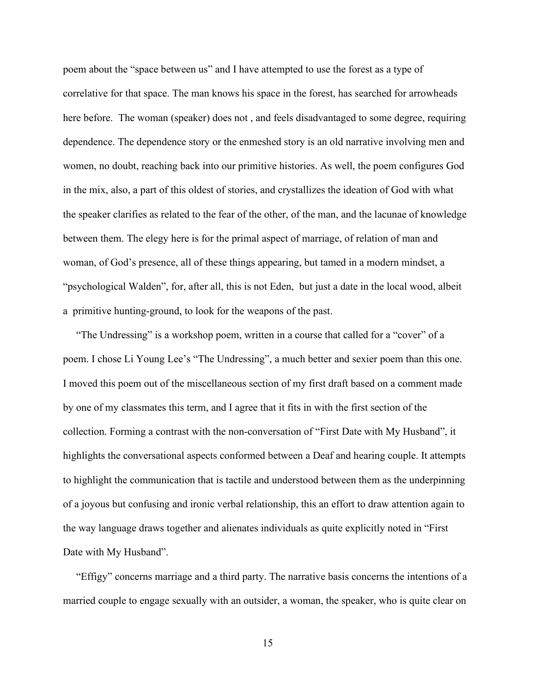poem about the "space between us" and I have attempted to use the forest as a type of correlative for that space. The man knows his space in the forest, has searched for arrowheads here before. The woman (speaker) does not , and feels disadvantaged to some degree, requiring dependence. The dependence story or the enmeshed story is an old narrative involving men and women, no doubt, reaching back into our primitive histories. As well, the poem configures God in the mix, also, a part of this oldest of stories, and crystallizes the ideation of God with what the speaker clarifies as related to the fear of the other, of the man, and the lacunae of knowledge between them. The elegy here is for the primal aspect of marriage, of relation of man and woman, of God's presence, all of these things appearing, but tamed in a modern mindset, a "psychological Walden", for, after all, this is not Eden, but just a date in the local wood, albeit a primitive hunting-ground, to look for the weapons of the past.

 "The Undressing" is a workshop poem, written in a course that called for a "cover" of a poem. I chose Li Young Lee's "The Undressing", a much better and sexier poem than this one. I moved this poem out of the miscellaneous section of my first draft based on a comment made by one of my classmates this term, and I agree that it fits in with the first section of the collection. Forming a contrast with the non-conversation of "First Date with My Husband", it highlights the conversational aspects conformed between a Deaf and hearing couple. It attempts to highlight the communication that is tactile and understood between them as the underpinning of a joyous but confusing and ironic verbal relationship, this an effort to draw attention again to the way language draws together and alienates individuals as quite explicitly noted in "First Date with My Husband".

 "Effigy" concerns marriage and a third party. The narrative basis concerns the intentions of a married couple to engage sexually with an outsider, a woman, the speaker, who is quite clear on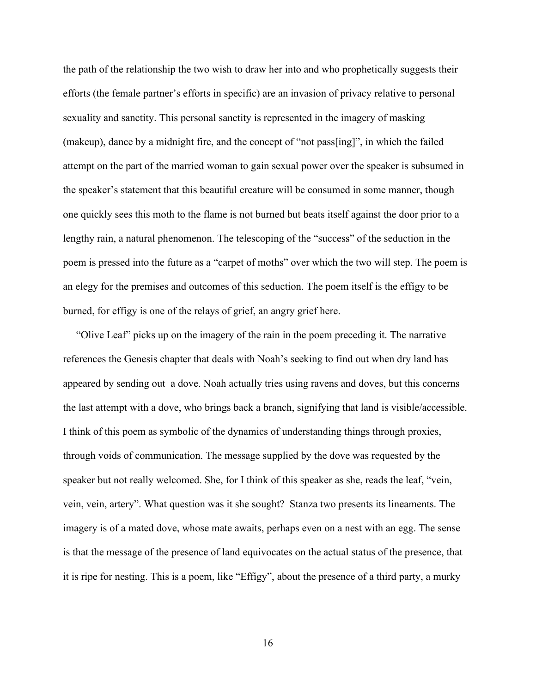the path of the relationship the two wish to draw her into and who prophetically suggests their efforts (the female partner's efforts in specific) are an invasion of privacy relative to personal sexuality and sanctity. This personal sanctity is represented in the imagery of masking (makeup), dance by a midnight fire, and the concept of "not pass[ing]", in which the failed attempt on the part of the married woman to gain sexual power over the speaker is subsumed in the speaker's statement that this beautiful creature will be consumed in some manner, though one quickly sees this moth to the flame is not burned but beats itself against the door prior to a lengthy rain, a natural phenomenon. The telescoping of the "success" of the seduction in the poem is pressed into the future as a "carpet of moths" over which the two will step. The poem is an elegy for the premises and outcomes of this seduction. The poem itself is the effigy to be burned, for effigy is one of the relays of grief, an angry grief here.

 "Olive Leaf" picks up on the imagery of the rain in the poem preceding it. The narrative references the Genesis chapter that deals with Noah's seeking to find out when dry land has appeared by sending out a dove. Noah actually tries using ravens and doves, but this concerns the last attempt with a dove, who brings back a branch, signifying that land is visible/accessible. I think of this poem as symbolic of the dynamics of understanding things through proxies, through voids of communication. The message supplied by the dove was requested by the speaker but not really welcomed. She, for I think of this speaker as she, reads the leaf, "vein, vein, vein, artery". What question was it she sought? Stanza two presents its lineaments. The imagery is of a mated dove, whose mate awaits, perhaps even on a nest with an egg. The sense is that the message of the presence of land equivocates on the actual status of the presence, that it is ripe for nesting. This is a poem, like "Effigy", about the presence of a third party, a murky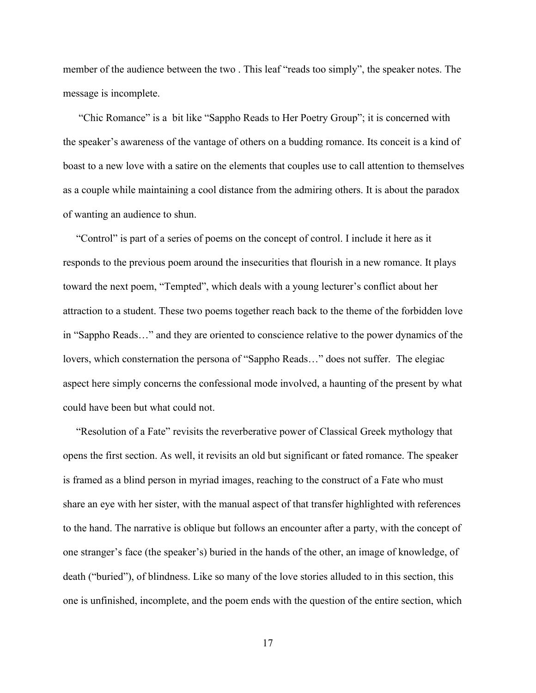member of the audience between the two . This leaf "reads too simply", the speaker notes. The message is incomplete.

 "Chic Romance" is a bit like "Sappho Reads to Her Poetry Group"; it is concerned with the speaker's awareness of the vantage of others on a budding romance. Its conceit is a kind of boast to a new love with a satire on the elements that couples use to call attention to themselves as a couple while maintaining a cool distance from the admiring others. It is about the paradox of wanting an audience to shun.

 "Control" is part of a series of poems on the concept of control. I include it here as it responds to the previous poem around the insecurities that flourish in a new romance. It plays toward the next poem, "Tempted", which deals with a young lecturer's conflict about her attraction to a student. These two poems together reach back to the theme of the forbidden love in "Sappho Reads…" and they are oriented to conscience relative to the power dynamics of the lovers, which consternation the persona of "Sappho Reads…" does not suffer. The elegiac aspect here simply concerns the confessional mode involved, a haunting of the present by what could have been but what could not.

 "Resolution of a Fate" revisits the reverberative power of Classical Greek mythology that opens the first section. As well, it revisits an old but significant or fated romance. The speaker is framed as a blind person in myriad images, reaching to the construct of a Fate who must share an eye with her sister, with the manual aspect of that transfer highlighted with references to the hand. The narrative is oblique but follows an encounter after a party, with the concept of one stranger's face (the speaker's) buried in the hands of the other, an image of knowledge, of death ("buried"), of blindness. Like so many of the love stories alluded to in this section, this one is unfinished, incomplete, and the poem ends with the question of the entire section, which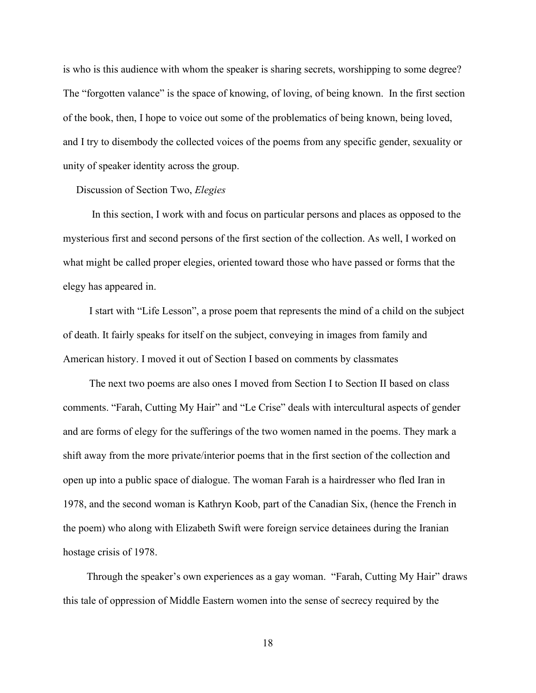is who is this audience with whom the speaker is sharing secrets, worshipping to some degree? The "forgotten valance" is the space of knowing, of loving, of being known. In the first section of the book, then, I hope to voice out some of the problematics of being known, being loved, and I try to disembody the collected voices of the poems from any specific gender, sexuality or unity of speaker identity across the group.

#### Discussion of Section Two, *Elegies*

 In this section, I work with and focus on particular persons and places as opposed to the mysterious first and second persons of the first section of the collection. As well, I worked on what might be called proper elegies, oriented toward those who have passed or forms that the elegy has appeared in.

 I start with "Life Lesson", a prose poem that represents the mind of a child on the subject of death. It fairly speaks for itself on the subject, conveying in images from family and American history. I moved it out of Section I based on comments by classmates

 The next two poems are also ones I moved from Section I to Section II based on class comments. "Farah, Cutting My Hair" and "Le Crise" deals with intercultural aspects of gender and are forms of elegy for the sufferings of the two women named in the poems. They mark a shift away from the more private/interior poems that in the first section of the collection and open up into a public space of dialogue. The woman Farah is a hairdresser who fled Iran in 1978, and the second woman is Kathryn Koob, part of the Canadian Six, (hence the French in the poem) who along with Elizabeth Swift were foreign service detainees during the Iranian hostage crisis of 1978.

 Through the speaker's own experiences as a gay woman. "Farah, Cutting My Hair" draws this tale of oppression of Middle Eastern women into the sense of secrecy required by the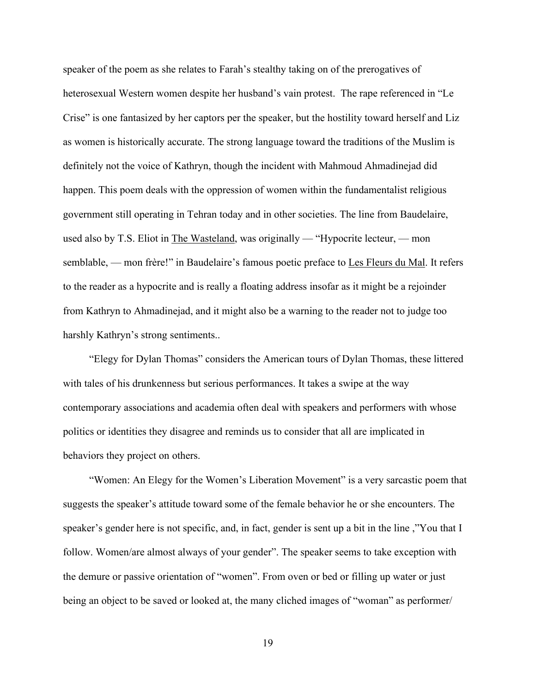speaker of the poem as she relates to Farah's stealthy taking on of the prerogatives of heterosexual Western women despite her husband's vain protest. The rape referenced in "Le Crise" is one fantasized by her captors per the speaker, but the hostility toward herself and Liz as women is historically accurate. The strong language toward the traditions of the Muslim is definitely not the voice of Kathryn, though the incident with Mahmoud Ahmadinejad did happen. This poem deals with the oppression of women within the fundamentalist religious government still operating in Tehran today and in other societies. The line from Baudelaire, used also by T.S. Eliot in The Wasteland, was originally — "Hypocrite lecteur, — mon semblable, — mon frère!" in Baudelaire's famous poetic preface to Les Fleurs du Mal. It refers to the reader as a hypocrite and is really a floating address insofar as it might be a rejoinder from Kathryn to Ahmadinejad, and it might also be a warning to the reader not to judge too harshly Kathryn's strong sentiments..

 "Elegy for Dylan Thomas" considers the American tours of Dylan Thomas, these littered with tales of his drunkenness but serious performances. It takes a swipe at the way contemporary associations and academia often deal with speakers and performers with whose politics or identities they disagree and reminds us to consider that all are implicated in behaviors they project on others.

"Women: An Elegy for the Women's Liberation Movement" is a very sarcastic poem that suggests the speaker's attitude toward some of the female behavior he or she encounters. The speaker's gender here is not specific, and, in fact, gender is sent up a bit in the line ,"You that I follow. Women/are almost always of your gender". The speaker seems to take exception with the demure or passive orientation of "women". From oven or bed or filling up water or just being an object to be saved or looked at, the many cliched images of "woman" as performer/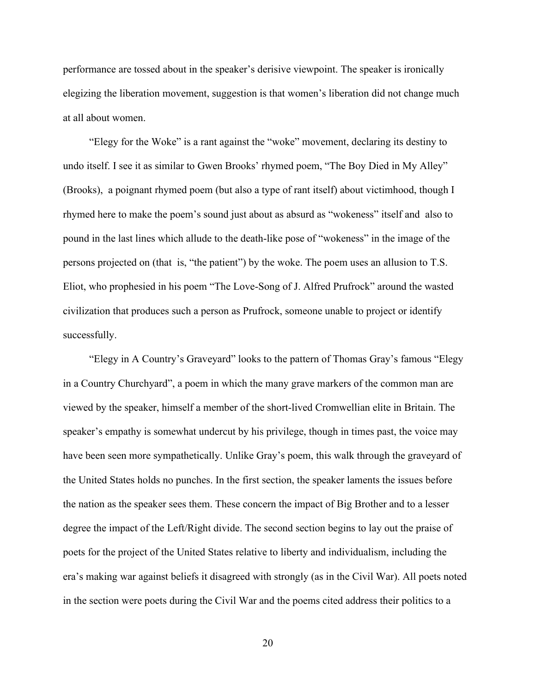performance are tossed about in the speaker's derisive viewpoint. The speaker is ironically elegizing the liberation movement, suggestion is that women's liberation did not change much at all about women.

 "Elegy for the Woke" is a rant against the "woke" movement, declaring its destiny to undo itself. I see it as similar to Gwen Brooks' rhymed poem, "The Boy Died in My Alley" (Brooks), a poignant rhymed poem (but also a type of rant itself) about victimhood, though I rhymed here to make the poem's sound just about as absurd as "wokeness" itself and also to pound in the last lines which allude to the death-like pose of "wokeness" in the image of the persons projected on (that is, "the patient") by the woke. The poem uses an allusion to T.S. Eliot, who prophesied in his poem "The Love-Song of J. Alfred Prufrock" around the wasted civilization that produces such a person as Prufrock, someone unable to project or identify successfully.

 "Elegy in A Country's Graveyard" looks to the pattern of Thomas Gray's famous "Elegy in a Country Churchyard", a poem in which the many grave markers of the common man are viewed by the speaker, himself a member of the short-lived Cromwellian elite in Britain. The speaker's empathy is somewhat undercut by his privilege, though in times past, the voice may have been seen more sympathetically. Unlike Gray's poem, this walk through the graveyard of the United States holds no punches. In the first section, the speaker laments the issues before the nation as the speaker sees them. These concern the impact of Big Brother and to a lesser degree the impact of the Left/Right divide. The second section begins to lay out the praise of poets for the project of the United States relative to liberty and individualism, including the era's making war against beliefs it disagreed with strongly (as in the Civil War). All poets noted in the section were poets during the Civil War and the poems cited address their politics to a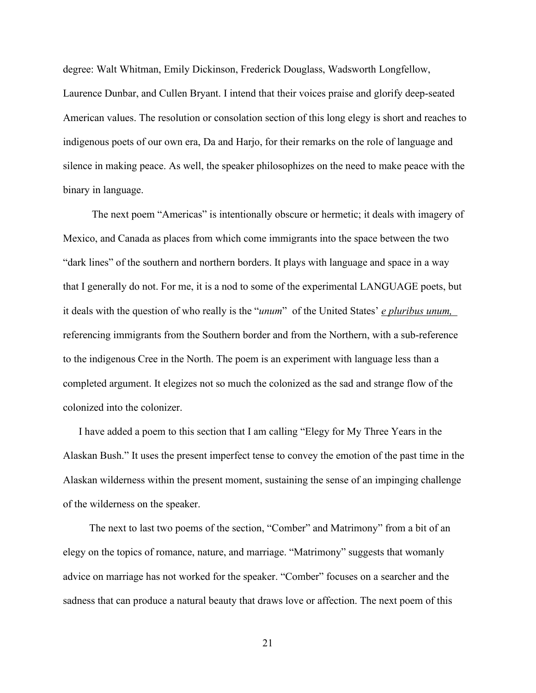degree: Walt Whitman, Emily Dickinson, Frederick Douglass, Wadsworth Longfellow, Laurence Dunbar, and Cullen Bryant. I intend that their voices praise and glorify deep-seated American values. The resolution or consolation section of this long elegy is short and reaches to indigenous poets of our own era, Da and Harjo, for their remarks on the role of language and silence in making peace. As well, the speaker philosophizes on the need to make peace with the binary in language.

 The next poem "Americas" is intentionally obscure or hermetic; it deals with imagery of Mexico, and Canada as places from which come immigrants into the space between the two "dark lines" of the southern and northern borders. It plays with language and space in a way that I generally do not. For me, it is a nod to some of the experimental LANGUAGE poets, but it deals with the question of who really is the "*unum*" of the United States' *e pluribus unum,*  referencing immigrants from the Southern border and from the Northern, with a sub-reference to the indigenous Cree in the North. The poem is an experiment with language less than a completed argument. It elegizes not so much the colonized as the sad and strange flow of the colonized into the colonizer.

 I have added a poem to this section that I am calling "Elegy for My Three Years in the Alaskan Bush." It uses the present imperfect tense to convey the emotion of the past time in the Alaskan wilderness within the present moment, sustaining the sense of an impinging challenge of the wilderness on the speaker.

 The next to last two poems of the section, "Comber" and Matrimony" from a bit of an elegy on the topics of romance, nature, and marriage. "Matrimony" suggests that womanly advice on marriage has not worked for the speaker. "Comber" focuses on a searcher and the sadness that can produce a natural beauty that draws love or affection. The next poem of this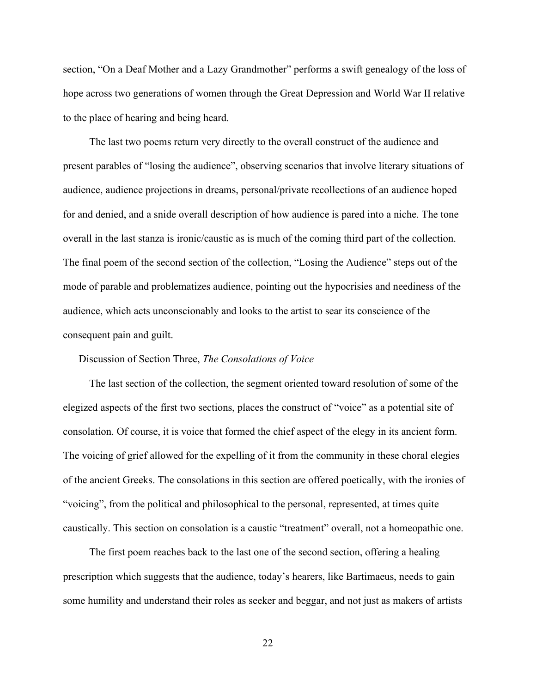section, "On a Deaf Mother and a Lazy Grandmother" performs a swift genealogy of the loss of hope across two generations of women through the Great Depression and World War II relative to the place of hearing and being heard.

 The last two poems return very directly to the overall construct of the audience and present parables of "losing the audience", observing scenarios that involve literary situations of audience, audience projections in dreams, personal/private recollections of an audience hoped for and denied, and a snide overall description of how audience is pared into a niche. The tone overall in the last stanza is ironic/caustic as is much of the coming third part of the collection. The final poem of the second section of the collection, "Losing the Audience" steps out of the mode of parable and problematizes audience, pointing out the hypocrisies and neediness of the audience, which acts unconscionably and looks to the artist to sear its conscience of the consequent pain and guilt.

#### Discussion of Section Three, *The Consolations of Voice*

 The last section of the collection, the segment oriented toward resolution of some of the elegized aspects of the first two sections, places the construct of "voice" as a potential site of consolation. Of course, it is voice that formed the chief aspect of the elegy in its ancient form. The voicing of grief allowed for the expelling of it from the community in these choral elegies of the ancient Greeks. The consolations in this section are offered poetically, with the ironies of "voicing", from the political and philosophical to the personal, represented, at times quite caustically. This section on consolation is a caustic "treatment" overall, not a homeopathic one.

 The first poem reaches back to the last one of the second section, offering a healing prescription which suggests that the audience, today's hearers, like Bartimaeus, needs to gain some humility and understand their roles as seeker and beggar, and not just as makers of artists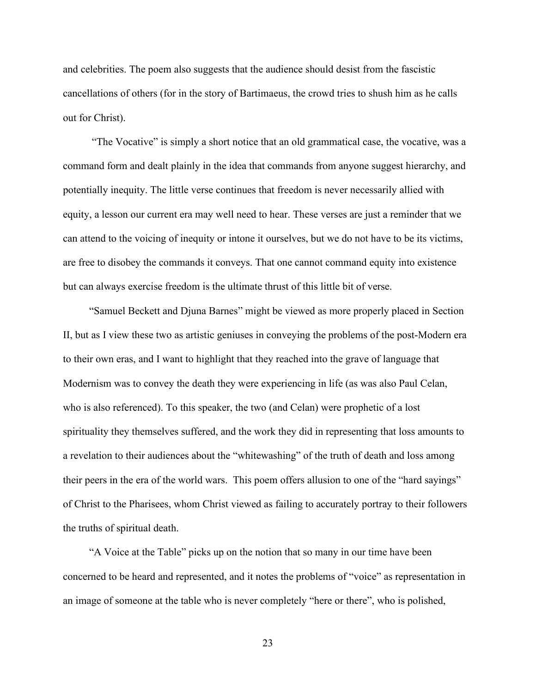and celebrities. The poem also suggests that the audience should desist from the fascistic cancellations of others (for in the story of Bartimaeus, the crowd tries to shush him as he calls out for Christ).

 "The Vocative" is simply a short notice that an old grammatical case, the vocative, was a command form and dealt plainly in the idea that commands from anyone suggest hierarchy, and potentially inequity. The little verse continues that freedom is never necessarily allied with equity, a lesson our current era may well need to hear. These verses are just a reminder that we can attend to the voicing of inequity or intone it ourselves, but we do not have to be its victims, are free to disobey the commands it conveys. That one cannot command equity into existence but can always exercise freedom is the ultimate thrust of this little bit of verse.

 "Samuel Beckett and Djuna Barnes" might be viewed as more properly placed in Section II, but as I view these two as artistic geniuses in conveying the problems of the post-Modern era to their own eras, and I want to highlight that they reached into the grave of language that Modernism was to convey the death they were experiencing in life (as was also Paul Celan, who is also referenced). To this speaker, the two (and Celan) were prophetic of a lost spirituality they themselves suffered, and the work they did in representing that loss amounts to a revelation to their audiences about the "whitewashing" of the truth of death and loss among their peers in the era of the world wars. This poem offers allusion to one of the "hard sayings" of Christ to the Pharisees, whom Christ viewed as failing to accurately portray to their followers the truths of spiritual death.

 "A Voice at the Table" picks up on the notion that so many in our time have been concerned to be heard and represented, and it notes the problems of "voice" as representation in an image of someone at the table who is never completely "here or there", who is polished,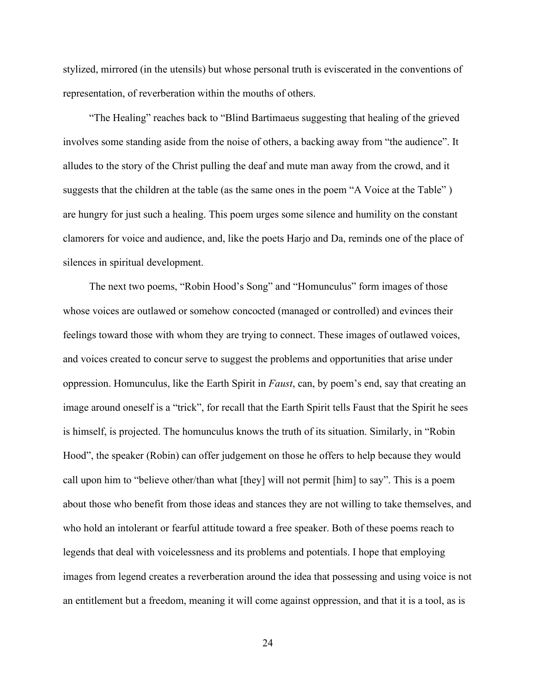stylized, mirrored (in the utensils) but whose personal truth is eviscerated in the conventions of representation, of reverberation within the mouths of others.

 "The Healing" reaches back to "Blind Bartimaeus suggesting that healing of the grieved involves some standing aside from the noise of others, a backing away from "the audience". It alludes to the story of the Christ pulling the deaf and mute man away from the crowd, and it suggests that the children at the table (as the same ones in the poem "A Voice at the Table") are hungry for just such a healing. This poem urges some silence and humility on the constant clamorers for voice and audience, and, like the poets Harjo and Da, reminds one of the place of silences in spiritual development.

 The next two poems, "Robin Hood's Song" and "Homunculus" form images of those whose voices are outlawed or somehow concocted (managed or controlled) and evinces their feelings toward those with whom they are trying to connect. These images of outlawed voices, and voices created to concur serve to suggest the problems and opportunities that arise under oppression. Homunculus, like the Earth Spirit in *Faust*, can, by poem's end, say that creating an image around oneself is a "trick", for recall that the Earth Spirit tells Faust that the Spirit he sees is himself, is projected. The homunculus knows the truth of its situation. Similarly, in "Robin Hood", the speaker (Robin) can offer judgement on those he offers to help because they would call upon him to "believe other/than what [they] will not permit [him] to say". This is a poem about those who benefit from those ideas and stances they are not willing to take themselves, and who hold an intolerant or fearful attitude toward a free speaker. Both of these poems reach to legends that deal with voicelessness and its problems and potentials. I hope that employing images from legend creates a reverberation around the idea that possessing and using voice is not an entitlement but a freedom, meaning it will come against oppression, and that it is a tool, as is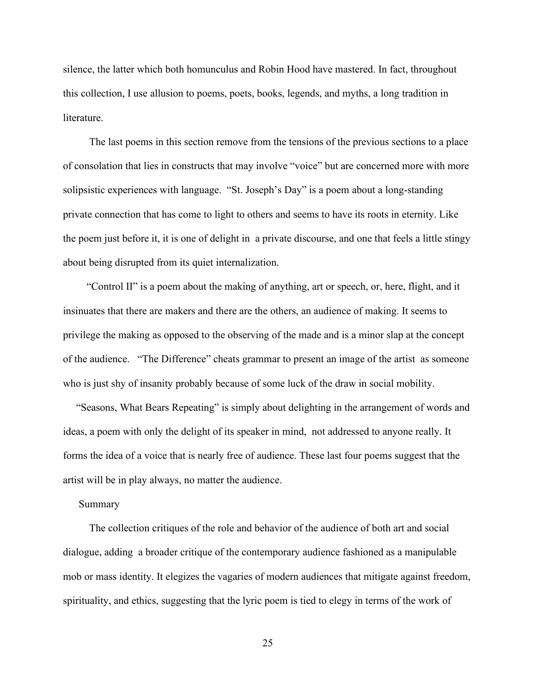silence, the latter which both homunculus and Robin Hood have mastered. In fact, throughout this collection, I use allusion to poems, poets, books, legends, and myths, a long tradition in literature.

 The last poems in this section remove from the tensions of the previous sections to a place of consolation that lies in constructs that may involve "voice" but are concerned more with more solipsistic experiences with language. "St. Joseph's Day" is a poem about a long-standing private connection that has come to light to others and seems to have its roots in eternity. Like the poem just before it, it is one of delight in a private discourse, and one that feels a little stingy about being disrupted from its quiet internalization.

 "Control II" is a poem about the making of anything, art or speech, or, here, flight, and it insinuates that there are makers and there are the others, an audience of making. It seems to privilege the making as opposed to the observing of the made and is a minor slap at the concept of the audience. "The Difference" cheats grammar to present an image of the artist as someone who is just shy of insanity probably because of some luck of the draw in social mobility.

 "Seasons, What Bears Repeating" is simply about delighting in the arrangement of words and ideas, a poem with only the delight of its speaker in mind, not addressed to anyone really. It forms the idea of a voice that is nearly free of audience. These last four poems suggest that the artist will be in play always, no matter the audience.

#### Summary

 The collection critiques of the role and behavior of the audience of both art and social dialogue, adding a broader critique of the contemporary audience fashioned as a manipulable mob or mass identity. It elegizes the vagaries of modern audiences that mitigate against freedom, spirituality, and ethics, suggesting that the lyric poem is tied to elegy in terms of the work of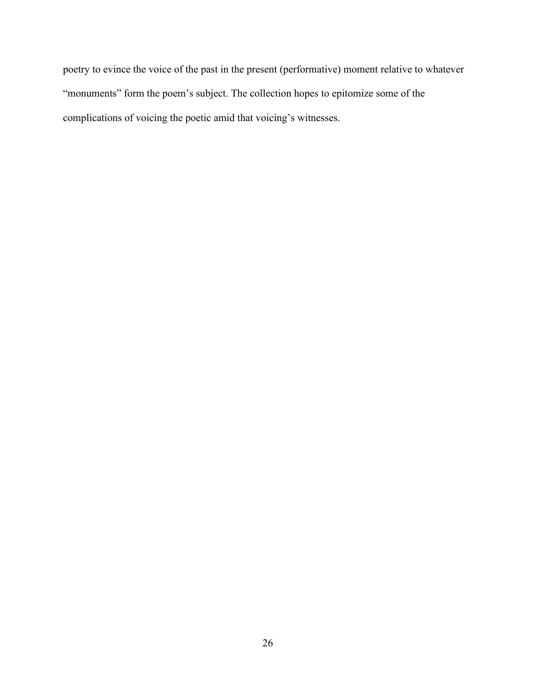poetry to evince the voice of the past in the present (performative) moment relative to whatever "monuments" form the poem's subject. The collection hopes to epitomize some of the complications of voicing the poetic amid that voicing's witnesses.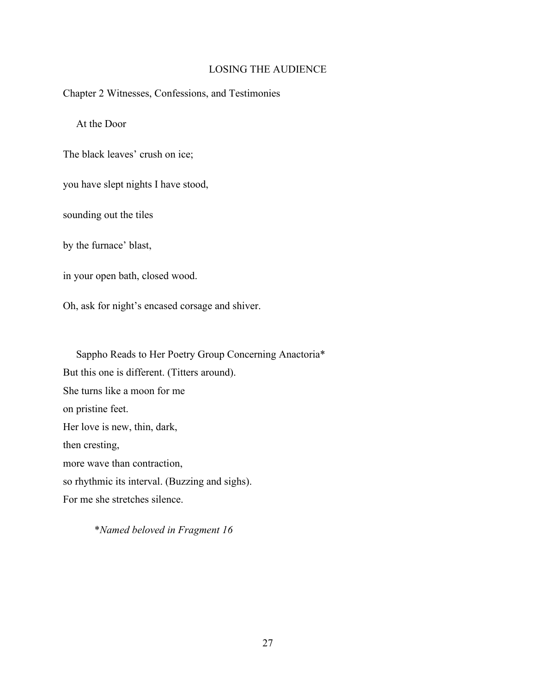### LOSING THE AUDIENCE

Chapter 2 Witnesses, Confessions, and Testimonies

At the Door

The black leaves' crush on ice;

you have slept nights I have stood,

sounding out the tiles

by the furnace' blast,

in your open bath, closed wood.

Oh, ask for night's encased corsage and shiver.

Sappho Reads to Her Poetry Group Concerning Anactoria\* But this one is different. (Titters around). She turns like a moon for me on pristine feet. Her love is new, thin, dark, then cresting, more wave than contraction, so rhythmic its interval. (Buzzing and sighs). For me she stretches silence.

\**Named beloved in Fragment 16*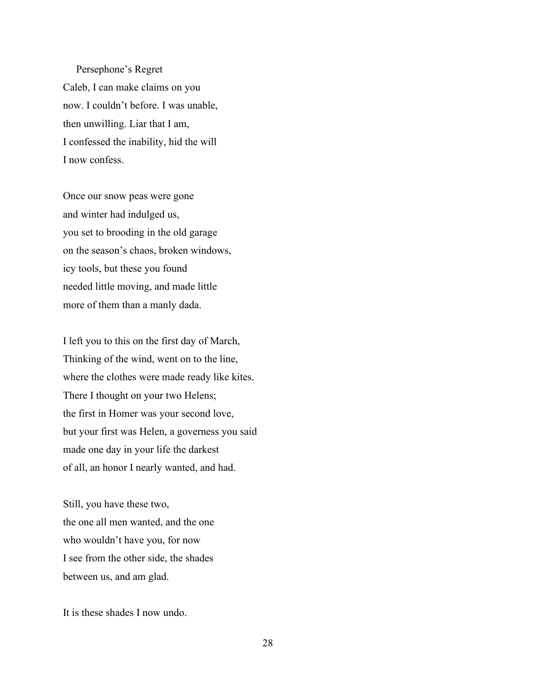Persephone's Regret Caleb, I can make claims on you now. I couldn't before. I was unable, then unwilling. Liar that I am, I confessed the inability, hid the will I now confess.

Once our snow peas were gone and winter had indulged us, you set to brooding in the old garage on the season's chaos, broken windows, icy tools, but these you found needed little moving, and made little more of them than a manly dada.

I left you to this on the first day of March, Thinking of the wind, went on to the line, where the clothes were made ready like kites. There I thought on your two Helens; the first in Homer was your second love, but your first was Helen, a governess you said made one day in your life the darkest of all, an honor I nearly wanted, and had.

Still, you have these two, the one all men wanted, and the one who wouldn't have you, for now I see from the other side, the shades between us, and am glad.

It is these shades I now undo.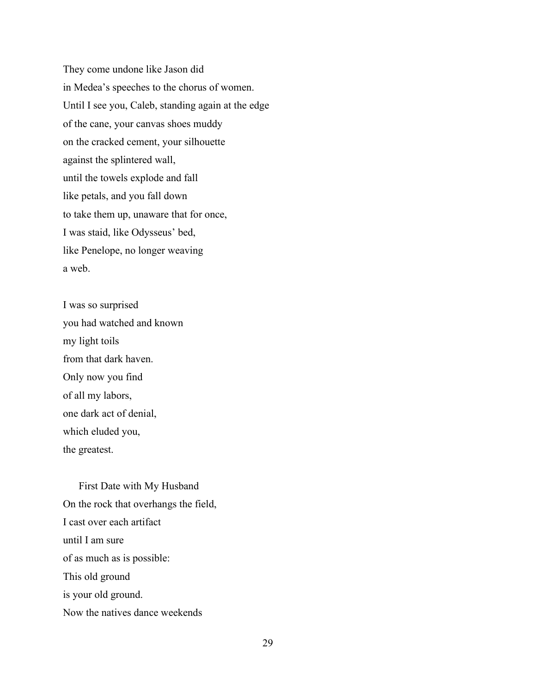They come undone like Jason did in Medea's speeches to the chorus of women. Until I see you, Caleb, standing again at the edge of the cane, your canvas shoes muddy on the cracked cement, your silhouette against the splintered wall, until the towels explode and fall like petals, and you fall down to take them up, unaware that for once, I was staid, like Odysseus' bed, like Penelope, no longer weaving a web.

I was so surprised you had watched and known my light toils from that dark haven. Only now you find of all my labors, one dark act of denial, which eluded you, the greatest.

 First Date with My Husband On the rock that overhangs the field, I cast over each artifact until I am sure of as much as is possible: This old ground is your old ground. Now the natives dance weekends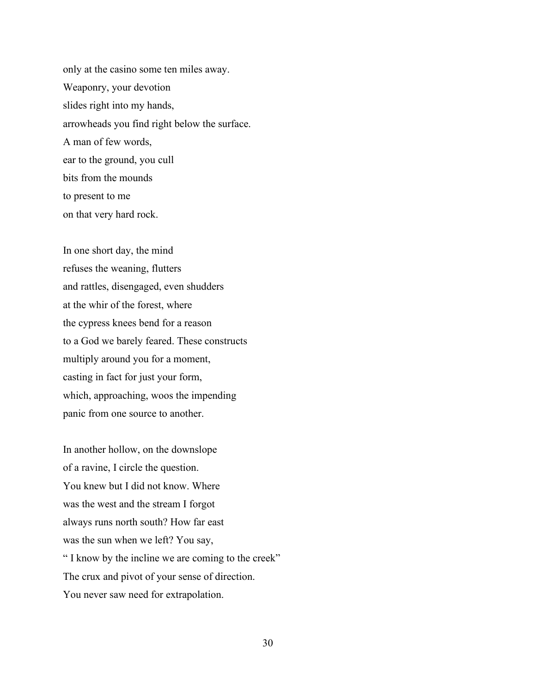only at the casino some ten miles away. Weaponry, your devotion slides right into my hands, arrowheads you find right below the surface. A man of few words, ear to the ground, you cull bits from the mounds to present to me on that very hard rock.

In one short day, the mind refuses the weaning, flutters and rattles, disengaged, even shudders at the whir of the forest, where the cypress knees bend for a reason to a God we barely feared. These constructs multiply around you for a moment, casting in fact for just your form, which, approaching, woos the impending panic from one source to another.

In another hollow, on the downslope of a ravine, I circle the question. You knew but I did not know. Where was the west and the stream I forgot always runs north south? How far east was the sun when we left? You say, " I know by the incline we are coming to the creek" The crux and pivot of your sense of direction. You never saw need for extrapolation.

30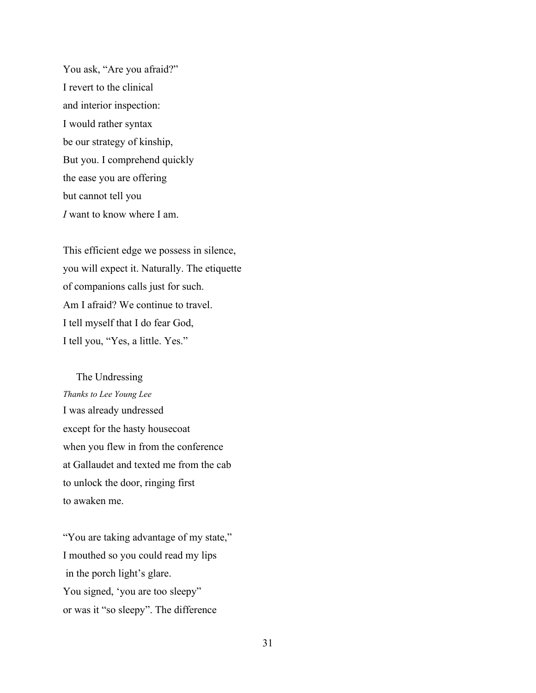You ask, "Are you afraid?" I revert to the clinical and interior inspection: I would rather syntax be our strategy of kinship, But you. I comprehend quickly the ease you are offering but cannot tell you *I* want to know where I am.

This efficient edge we possess in silence, you will expect it. Naturally. The etiquette of companions calls just for such. Am I afraid? We continue to travel. I tell myself that I do fear God, I tell you, "Yes, a little. Yes."

#### The Undressing

*Thanks to Lee Young Lee* I was already undressed except for the hasty housecoat when you flew in from the conference at Gallaudet and texted me from the cab to unlock the door, ringing first to awaken me.

"You are taking advantage of my state," I mouthed so you could read my lips in the porch light's glare. You signed, 'you are too sleepy" or was it "so sleepy". The difference

31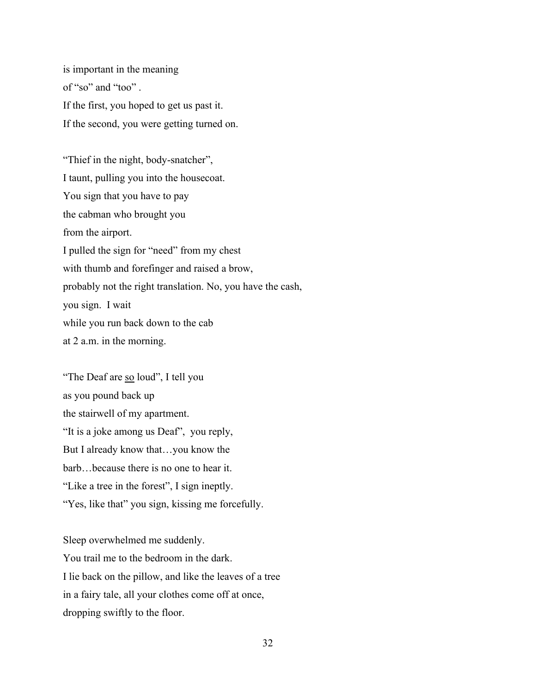is important in the meaning of "so" and "too" . If the first, you hoped to get us past it. If the second, you were getting turned on.

"Thief in the night, body-snatcher", I taunt, pulling you into the housecoat. You sign that you have to pay the cabman who brought you from the airport. I pulled the sign for "need" from my chest with thumb and forefinger and raised a brow, probably not the right translation. No, you have the cash, you sign. I wait while you run back down to the cab at 2 a.m. in the morning.

"The Deaf are so loud", I tell you as you pound back up the stairwell of my apartment. "It is a joke among us Deaf", you reply, But I already know that…you know the barb…because there is no one to hear it. "Like a tree in the forest", I sign ineptly. "Yes, like that" you sign, kissing me forcefully.

Sleep overwhelmed me suddenly.

You trail me to the bedroom in the dark. I lie back on the pillow, and like the leaves of a tree in a fairy tale, all your clothes come off at once, dropping swiftly to the floor.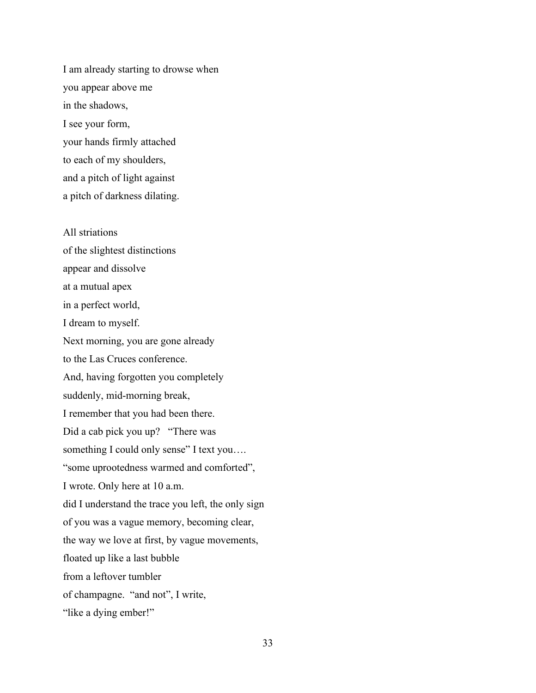I am already starting to drowse when you appear above me in the shadows, I see your form, your hands firmly attached to each of my shoulders, and a pitch of light against a pitch of darkness dilating.

All striations of the slightest distinctions appear and dissolve at a mutual apex in a perfect world, I dream to myself. Next morning, you are gone already to the Las Cruces conference. And, having forgotten you completely suddenly, mid-morning break, I remember that you had been there. Did a cab pick you up? "There was something I could only sense" I text you.... "some uprootedness warmed and comforted", I wrote. Only here at 10 a.m. did I understand the trace you left, the only sign of you was a vague memory, becoming clear, the way we love at first, by vague movements, floated up like a last bubble from a leftover tumbler of champagne. "and not", I write, "like a dying ember!"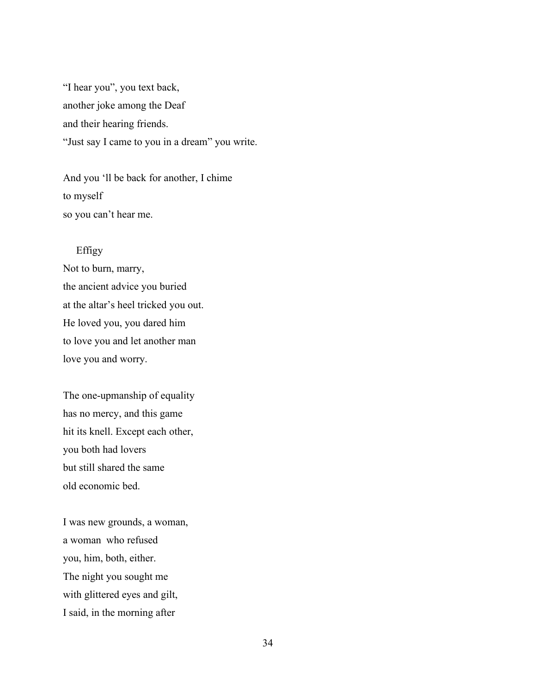"I hear you", you text back, another joke among the Deaf and their hearing friends. "Just say I came to you in a dream" you write.

And you 'll be back for another, I chime to myself so you can't hear me.

# Effigy

Not to burn, marry, the ancient advice you buried at the altar's heel tricked you out. He loved you, you dared him to love you and let another man love you and worry.

The one-upmanship of equality has no mercy, and this game hit its knell. Except each other, you both had lovers but still shared the same old economic bed.

I was new grounds, a woman, a woman who refused you, him, both, either. The night you sought me with glittered eyes and gilt, I said, in the morning after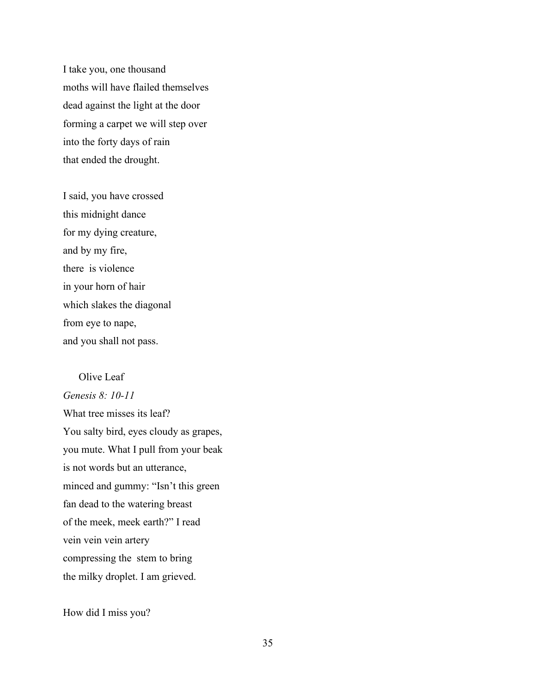I take you, one thousand moths will have flailed themselves dead against the light at the door forming a carpet we will step over into the forty days of rain that ended the drought.

I said, you have crossed this midnight dance for my dying creature, and by my fire, there is violence in your horn of hair which slakes the diagonal from eye to nape, and you shall not pass.

#### Olive Leaf

*Genesis 8: 10-11* What tree misses its leaf? You salty bird, eyes cloudy as grapes, you mute. What I pull from your beak is not words but an utterance, minced and gummy: "Isn't this green fan dead to the watering breast of the meek, meek earth?" I read vein vein vein artery compressing the stem to bring the milky droplet. I am grieved.

How did I miss you?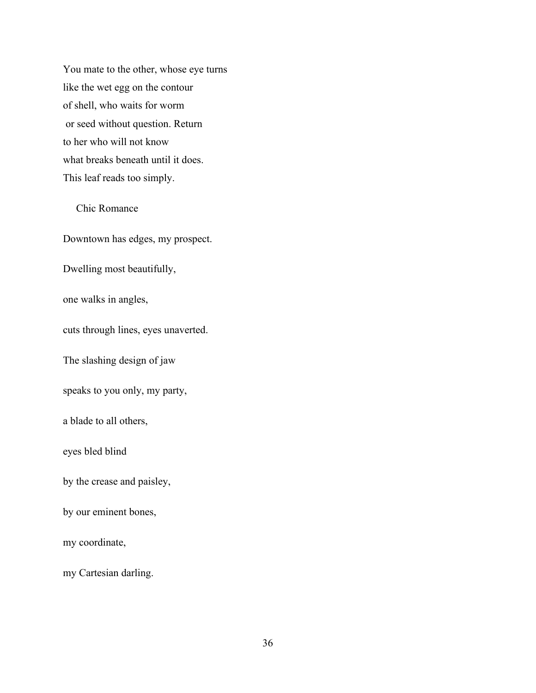You mate to the other, whose eye turns like the wet egg on the contour of shell, who waits for worm or seed without question. Return to her who will not know what breaks beneath until it does. This leaf reads too simply.

Chic Romance

Downtown has edges, my prospect.

Dwelling most beautifully,

one walks in angles,

cuts through lines, eyes unaverted.

The slashing design of jaw

speaks to you only, my party,

a blade to all others,

eyes bled blind

by the crease and paisley,

by our eminent bones,

my coordinate,

my Cartesian darling.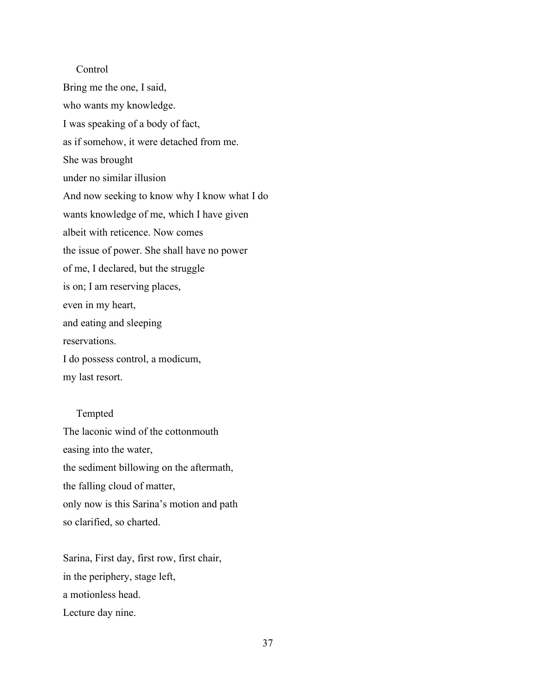### Control

Bring me the one, I said, who wants my knowledge. I was speaking of a body of fact, as if somehow, it were detached from me. She was brought under no similar illusion And now seeking to know why I know what I do wants knowledge of me, which I have given albeit with reticence. Now comes the issue of power. She shall have no power of me, I declared, but the struggle is on; I am reserving places, even in my heart, and eating and sleeping reservations. I do possess control, a modicum, my last resort.

#### Tempted

The laconic wind of the cottonmouth easing into the water, the sediment billowing on the aftermath, the falling cloud of matter, only now is this Sarina's motion and path so clarified, so charted.

Sarina, First day, first row, first chair, in the periphery, stage left, a motionless head. Lecture day nine.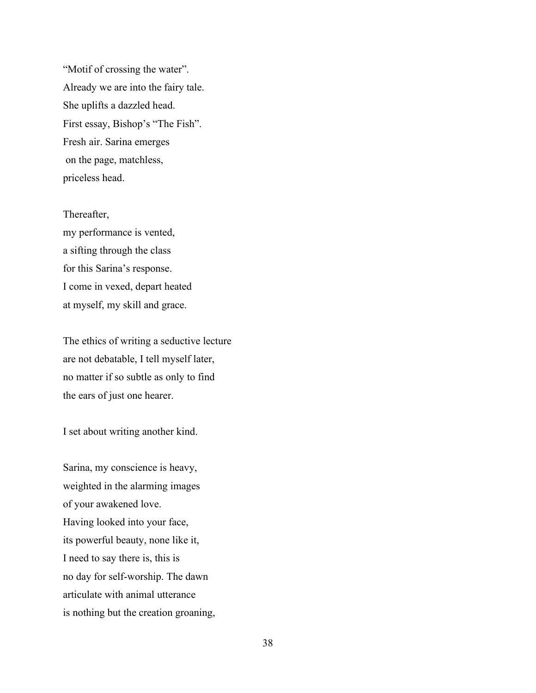"Motif of crossing the water". Already we are into the fairy tale. She uplifts a dazzled head. First essay, Bishop's "The Fish". Fresh air. Sarina emerges on the page, matchless, priceless head.

Thereafter, my performance is vented, a sifting through the class for this Sarina's response. I come in vexed, depart heated at myself, my skill and grace.

The ethics of writing a seductive lecture are not debatable, I tell myself later, no matter if so subtle as only to find the ears of just one hearer.

I set about writing another kind.

Sarina, my conscience is heavy, weighted in the alarming images of your awakened love. Having looked into your face, its powerful beauty, none like it, I need to say there is, this is no day for self-worship. The dawn articulate with animal utterance is nothing but the creation groaning,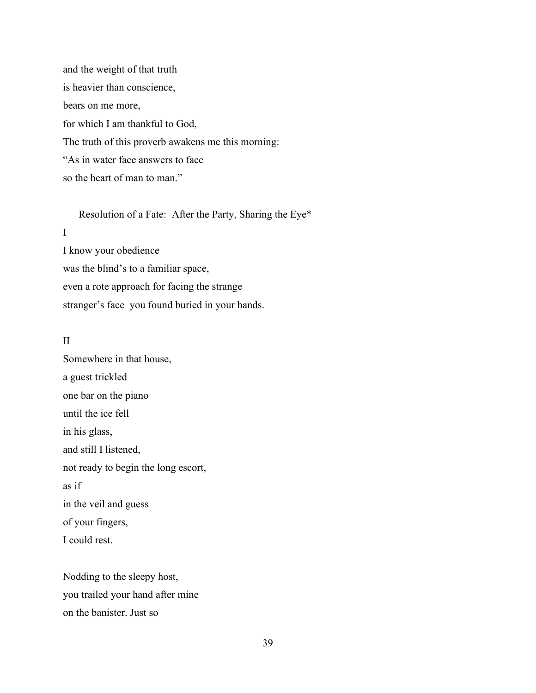and the weight of that truth is heavier than conscience, bears on me more, for which I am thankful to God, The truth of this proverb awakens me this morning: "As in water face answers to face so the heart of man to man."

Resolution of a Fate: After the Party, Sharing the Eye\*

# I

I know your obedience was the blind's to a familiar space, even a rote approach for facing the strange stranger's face you found buried in your hands.

## II

Somewhere in that house, a guest trickled one bar on the piano until the ice fell in his glass, and still I listened, not ready to begin the long escort, as if in the veil and guess of your fingers, I could rest.

Nodding to the sleepy host, you trailed your hand after mine on the banister. Just so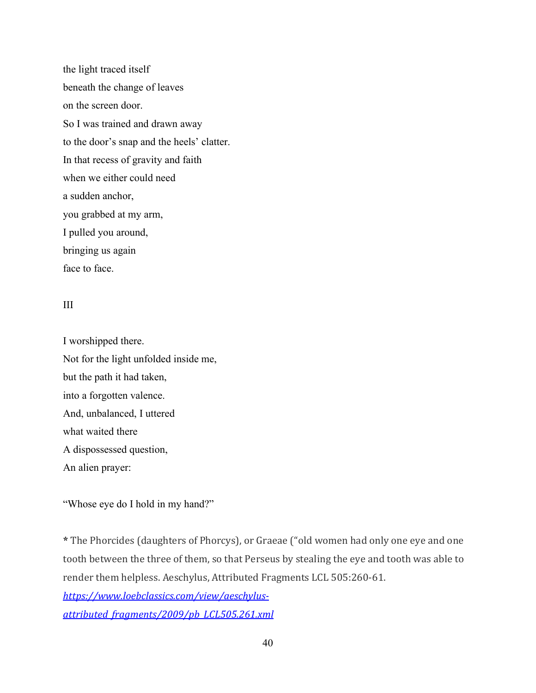the light traced itself beneath the change of leaves on the screen door. So I was trained and drawn away to the door's snap and the heels' clatter. In that recess of gravity and faith when we either could need a sudden anchor, you grabbed at my arm, I pulled you around, bringing us again face to face.

# III

I worshipped there. Not for the light unfolded inside me, but the path it had taken, into a forgotten valence. And, unbalanced, I uttered what waited there A dispossessed question, An alien prayer:

"Whose eye do I hold in my hand?"

**\*** The Phorcides (daughters of Phorcys), or Graeae ("old women had only one eye and one tooth between the three of them, so that Perseus by stealing the eye and tooth was able to render them helpless. Aeschylus, Attributed Fragments LCL 505:260-61. *[https://www.loebclassics.com/view/aeschylus](https://www.loebclassics.com/view/aeschylus-attributed_fragments/2009/pb_LCL505.261.xml)[attributed\\_fragments/2009/pb\\_LCL505.261.xml](https://www.loebclassics.com/view/aeschylus-attributed_fragments/2009/pb_LCL505.261.xml)*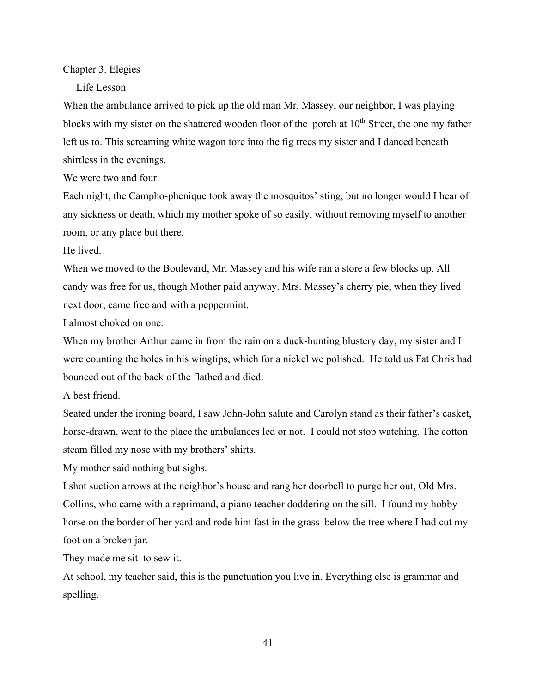#### Chapter 3. Elegies

Life Lesson

When the ambulance arrived to pick up the old man Mr. Massey, our neighbor, I was playing blocks with my sister on the shattered wooden floor of the porch at  $10<sup>th</sup>$  Street, the one my father left us to. This screaming white wagon tore into the fig trees my sister and I danced beneath shirtless in the evenings.

We were two and four.

Each night, the Campho-phenique took away the mosquitos' sting, but no longer would I hear of any sickness or death, which my mother spoke of so easily, without removing myself to another room, or any place but there.

He lived.

When we moved to the Boulevard, Mr. Massey and his wife ran a store a few blocks up. All candy was free for us, though Mother paid anyway. Mrs. Massey's cherry pie, when they lived next door, came free and with a peppermint.

I almost choked on one.

When my brother Arthur came in from the rain on a duck-hunting blustery day, my sister and I were counting the holes in his wingtips, which for a nickel we polished. He told us Fat Chris had bounced out of the back of the flatbed and died.

A best friend.

Seated under the ironing board, I saw John-John salute and Carolyn stand as their father's casket, horse-drawn, went to the place the ambulances led or not. I could not stop watching. The cotton steam filled my nose with my brothers' shirts.

My mother said nothing but sighs.

I shot suction arrows at the neighbor's house and rang her doorbell to purge her out, Old Mrs. Collins, who came with a reprimand, a piano teacher doddering on the sill. I found my hobby horse on the border of her yard and rode him fast in the grass below the tree where I had cut my foot on a broken jar.

They made me sit to sew it.

At school, my teacher said, this is the punctuation you live in. Everything else is grammar and spelling.

41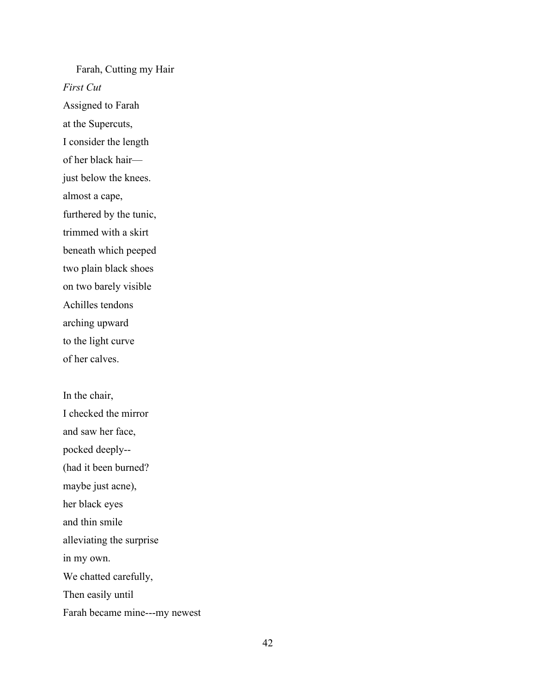Farah, Cutting my Hair *First Cut* Assigned to Farah at the Supercuts, I consider the length of her black hair just below the knees. almost a cape, furthered by the tunic, trimmed with a skirt beneath which peeped two plain black shoes on two barely visible Achilles tendons arching upward to the light curve of her calves.

In the chair, I checked the mirror and saw her face, pocked deeply-- (had it been burned? maybe just acne), her black eyes and thin smile alleviating the surprise in my own. We chatted carefully, Then easily until Farah became mine---my newest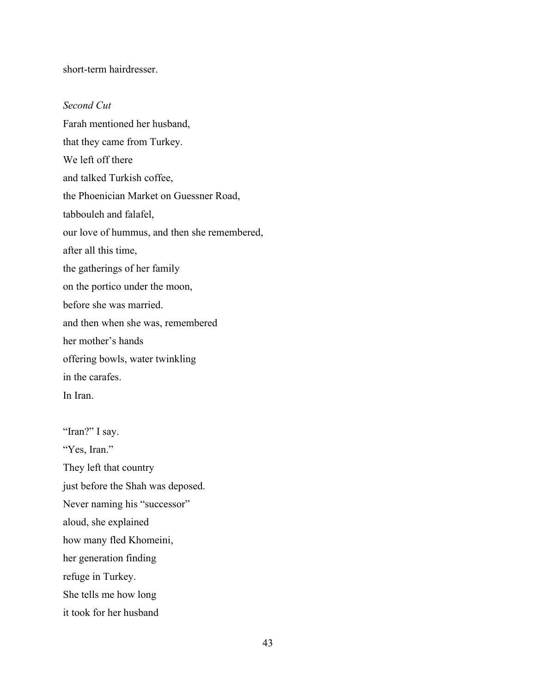short-term hairdresser.

## *Second Cut*

Farah mentioned her husband, that they came from Turkey. We left off there and talked Turkish coffee, the Phoenician Market on Guessner Road, tabbouleh and falafel, our love of hummus, and then she remembered, after all this time, the gatherings of her family on the portico under the moon, before she was married. and then when she was, remembered her mother's hands offering bowls, water twinkling in the carafes. In Iran.

"Iran?" I say. "Yes, Iran." They left that country just before the Shah was deposed. Never naming his "successor" aloud, she explained how many fled Khomeini, her generation finding refuge in Turkey. She tells me how long it took for her husband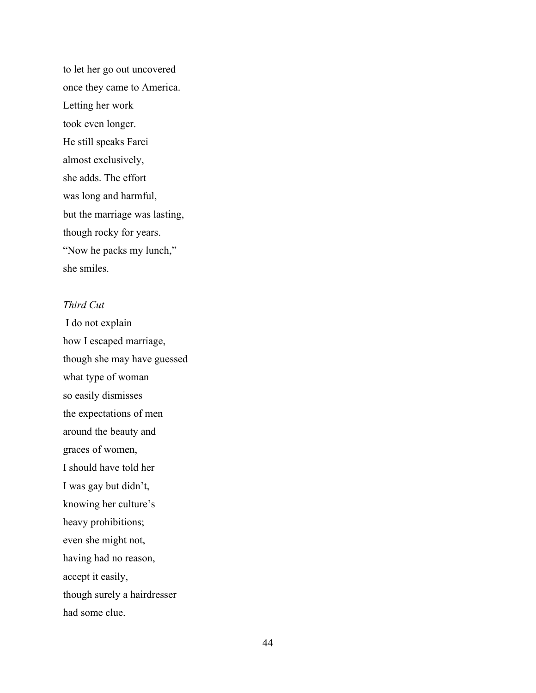to let her go out uncovered once they came to America. Letting her work took even longer. He still speaks Farci almost exclusively, she adds. The effort was long and harmful, but the marriage was lasting, though rocky for years. "Now he packs my lunch," she smiles.

# *Third Cut*

I do not explain how I escaped marriage, though she may have guessed what type of woman so easily dismisses the expectations of men around the beauty and graces of women, I should have told her I was gay but didn't, knowing her culture's heavy prohibitions; even she might not, having had no reason, accept it easily, though surely a hairdresser had some clue.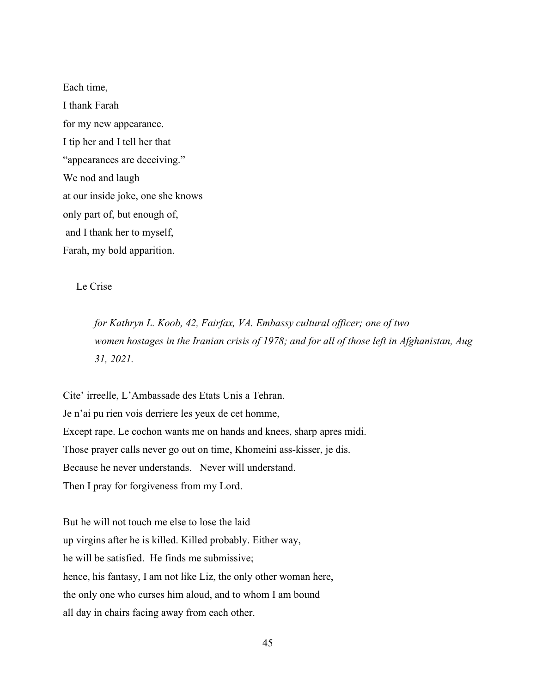Each time, I thank Farah for my new appearance. I tip her and I tell her that "appearances are deceiving." We nod and laugh at our inside joke, one she knows only part of, but enough of, and I thank her to myself, Farah, my bold apparition.

Le Crise

*for Kathryn L. Koob, 42, Fairfax, VA. Embassy cultural officer; one of two women hostages in the Iranian crisis of 1978; and for all of those left in Afghanistan, Aug 31, 2021.* 

Cite' irreelle, L'Ambassade des Etats Unis a Tehran. Je n'ai pu rien vois derriere les yeux de cet homme, Except rape. Le cochon wants me on hands and knees, sharp apres midi. Those prayer calls never go out on time, Khomeini ass-kisser, je dis. Because he never understands. Never will understand. Then I pray for forgiveness from my Lord.

But he will not touch me else to lose the laid up virgins after he is killed. Killed probably. Either way, he will be satisfied. He finds me submissive; hence, his fantasy, I am not like Liz, the only other woman here, the only one who curses him aloud, and to whom I am bound all day in chairs facing away from each other.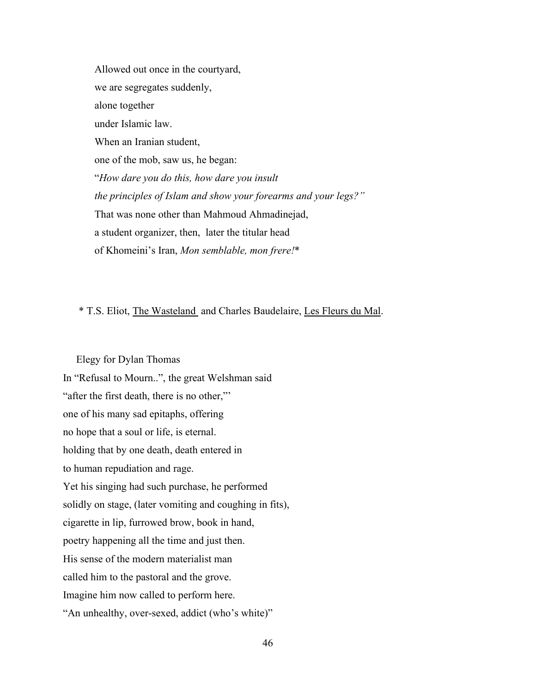Allowed out once in the courtyard, we are segregates suddenly, alone together under Islamic law. When an Iranian student, one of the mob, saw us, he began: "*How dare you do this, how dare you insult the principles of Islam and show your forearms and your legs?"*  That was none other than Mahmoud Ahmadinejad, a student organizer, then, later the titular head of Khomeini's Iran, *Mon semblable, mon frere!*\*

## \* T.S. Eliot, The Wasteland and Charles Baudelaire, Les Fleurs du Mal.

Elegy for Dylan Thomas In "Refusal to Mourn..", the great Welshman said "after the first death, there is no other," one of his many sad epitaphs, offering no hope that a soul or life, is eternal. holding that by one death, death entered in to human repudiation and rage. Yet his singing had such purchase, he performed solidly on stage, (later vomiting and coughing in fits), cigarette in lip, furrowed brow, book in hand, poetry happening all the time and just then. His sense of the modern materialist man called him to the pastoral and the grove. Imagine him now called to perform here. "An unhealthy, over-sexed, addict (who's white)"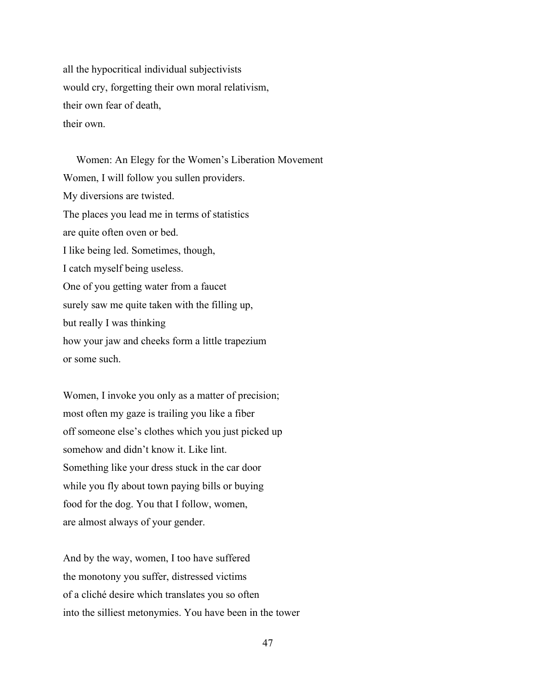all the hypocritical individual subjectivists would cry, forgetting their own moral relativism, their own fear of death, their own.

 Women: An Elegy for the Women's Liberation Movement Women, I will follow you sullen providers. My diversions are twisted. The places you lead me in terms of statistics are quite often oven or bed. I like being led. Sometimes, though, I catch myself being useless. One of you getting water from a faucet surely saw me quite taken with the filling up, but really I was thinking how your jaw and cheeks form a little trapezium or some such.

Women, I invoke you only as a matter of precision; most often my gaze is trailing you like a fiber off someone else's clothes which you just picked up somehow and didn't know it. Like lint. Something like your dress stuck in the car door while you fly about town paying bills or buying food for the dog. You that I follow, women, are almost always of your gender.

And by the way, women, I too have suffered the monotony you suffer, distressed victims of a cliché desire which translates you so often into the silliest metonymies. You have been in the tower

47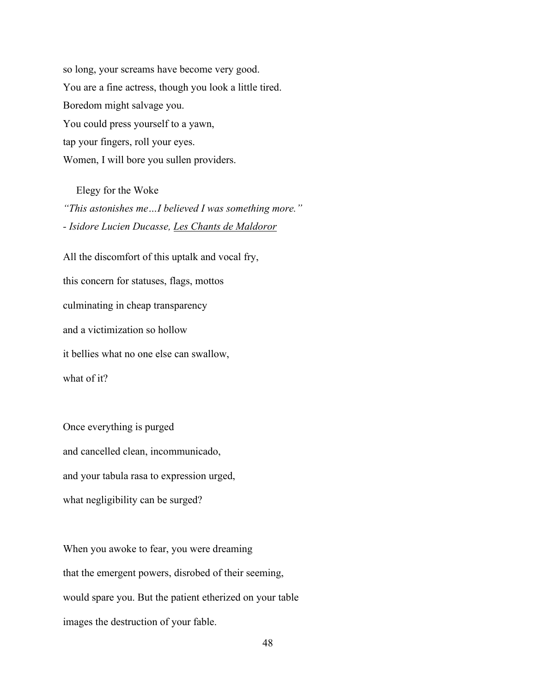so long, your screams have become very good. You are a fine actress, though you look a little tired. Boredom might salvage you. You could press yourself to a yawn, tap your fingers, roll your eyes. Women, I will bore you sullen providers.

Elegy for the Woke *"This astonishes me…I believed I was something more." - Isidore Lucien Ducasse, Les Chants de Maldoror* 

All the discomfort of this uptalk and vocal fry, this concern for statuses, flags, mottos culminating in cheap transparency and a victimization so hollow it bellies what no one else can swallow, what of it?

Once everything is purged and cancelled clean, incommunicado, and your tabula rasa to expression urged, what negligibility can be surged?

When you awoke to fear, you were dreaming that the emergent powers, disrobed of their seeming, would spare you. But the patient etherized on your table images the destruction of your fable.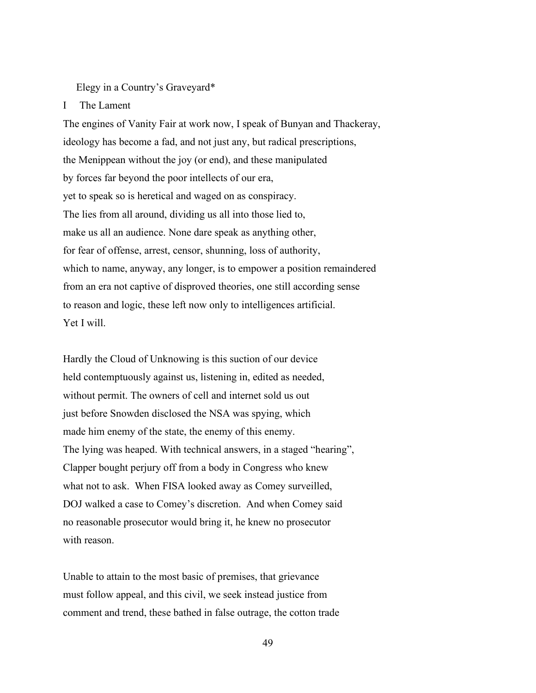Elegy in a Country's Graveyard\*

#### I The Lament

The engines of Vanity Fair at work now, I speak of Bunyan and Thackeray, ideology has become a fad, and not just any, but radical prescriptions, the Menippean without the joy (or end), and these manipulated by forces far beyond the poor intellects of our era, yet to speak so is heretical and waged on as conspiracy. The lies from all around, dividing us all into those lied to, make us all an audience. None dare speak as anything other, for fear of offense, arrest, censor, shunning, loss of authority, which to name, anyway, any longer, is to empower a position remaindered from an era not captive of disproved theories, one still according sense to reason and logic, these left now only to intelligences artificial. Yet I will.

Hardly the Cloud of Unknowing is this suction of our device held contemptuously against us, listening in, edited as needed, without permit. The owners of cell and internet sold us out just before Snowden disclosed the NSA was spying, which made him enemy of the state, the enemy of this enemy. The lying was heaped. With technical answers, in a staged "hearing", Clapper bought perjury off from a body in Congress who knew what not to ask. When FISA looked away as Comey surveilled, DOJ walked a case to Comey's discretion. And when Comey said no reasonable prosecutor would bring it, he knew no prosecutor with reason.

Unable to attain to the most basic of premises, that grievance must follow appeal, and this civil, we seek instead justice from comment and trend, these bathed in false outrage, the cotton trade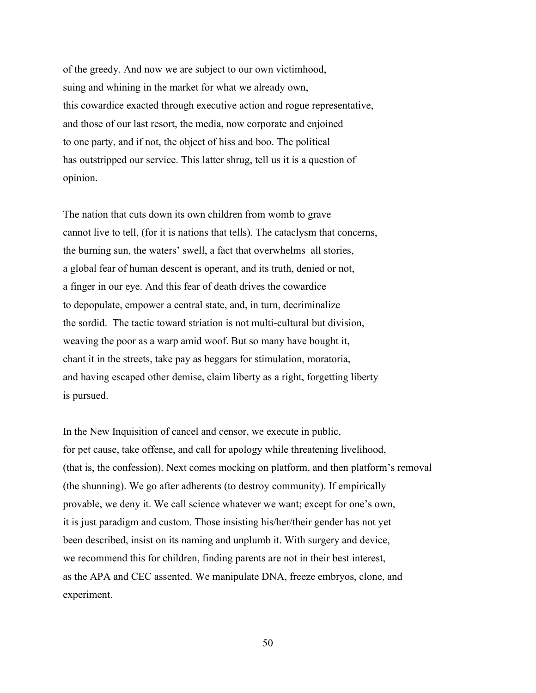of the greedy. And now we are subject to our own victimhood, suing and whining in the market for what we already own, this cowardice exacted through executive action and rogue representative, and those of our last resort, the media, now corporate and enjoined to one party, and if not, the object of hiss and boo. The political has outstripped our service. This latter shrug, tell us it is a question of opinion.

The nation that cuts down its own children from womb to grave cannot live to tell, (for it is nations that tells). The cataclysm that concerns, the burning sun, the waters' swell, a fact that overwhelms all stories, a global fear of human descent is operant, and its truth, denied or not, a finger in our eye. And this fear of death drives the cowardice to depopulate, empower a central state, and, in turn, decriminalize the sordid. The tactic toward striation is not multi-cultural but division, weaving the poor as a warp amid woof. But so many have bought it, chant it in the streets, take pay as beggars for stimulation, moratoria, and having escaped other demise, claim liberty as a right, forgetting liberty is pursued.

In the New Inquisition of cancel and censor, we execute in public, for pet cause, take offense, and call for apology while threatening livelihood, (that is, the confession). Next comes mocking on platform, and then platform's removal (the shunning). We go after adherents (to destroy community). If empirically provable, we deny it. We call science whatever we want; except for one's own, it is just paradigm and custom. Those insisting his/her/their gender has not yet been described, insist on its naming and unplumb it. With surgery and device, we recommend this for children, finding parents are not in their best interest, as the APA and CEC assented. We manipulate DNA, freeze embryos, clone, and experiment.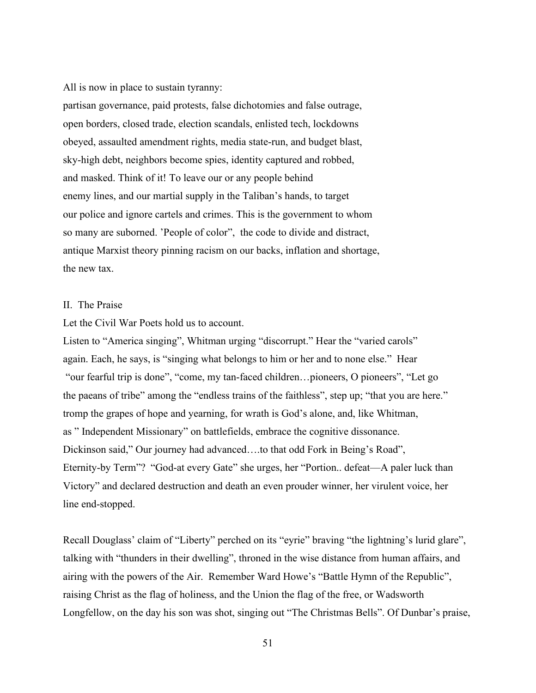All is now in place to sustain tyranny:

partisan governance, paid protests, false dichotomies and false outrage, open borders, closed trade, election scandals, enlisted tech, lockdowns obeyed, assaulted amendment rights, media state-run, and budget blast, sky-high debt, neighbors become spies, identity captured and robbed, and masked. Think of it! To leave our or any people behind enemy lines, and our martial supply in the Taliban's hands, to target our police and ignore cartels and crimes. This is the government to whom so many are suborned. 'People of color", the code to divide and distract, antique Marxist theory pinning racism on our backs, inflation and shortage, the new tax.

#### II. The Praise

Let the Civil War Poets hold us to account.

Listen to "America singing", Whitman urging "discorrupt." Hear the "varied carols" again. Each, he says, is "singing what belongs to him or her and to none else." Hear "our fearful trip is done", "come, my tan-faced children…pioneers, O pioneers", "Let go the paeans of tribe" among the "endless trains of the faithless", step up; "that you are here." tromp the grapes of hope and yearning, for wrath is God's alone, and, like Whitman, as " Independent Missionary" on battlefields, embrace the cognitive dissonance. Dickinson said," Our journey had advanced….to that odd Fork in Being's Road", Eternity-by Term"? "God-at every Gate" she urges, her "Portion.. defeat—A paler luck than Victory" and declared destruction and death an even prouder winner, her virulent voice, her line end-stopped.

Recall Douglass' claim of "Liberty" perched on its "eyrie" braving "the lightning's lurid glare", talking with "thunders in their dwelling", throned in the wise distance from human affairs, and airing with the powers of the Air. Remember Ward Howe's "Battle Hymn of the Republic", raising Christ as the flag of holiness, and the Union the flag of the free, or Wadsworth Longfellow, on the day his son was shot, singing out "The Christmas Bells". Of Dunbar's praise,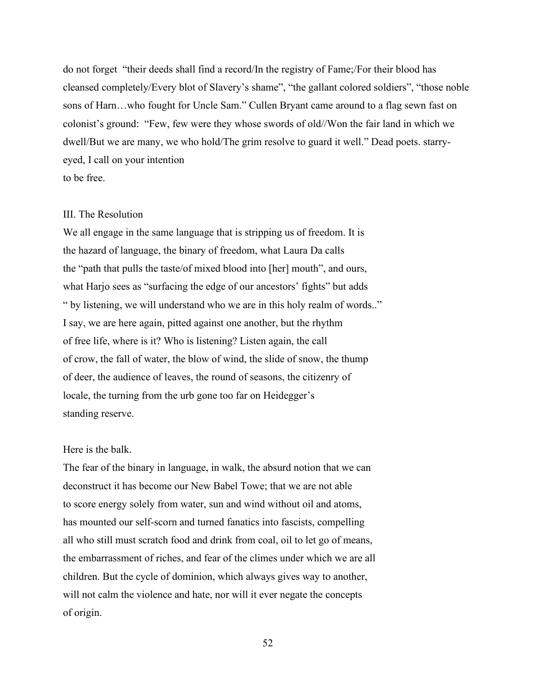do not forget "their deeds shall find a record/In the registry of Fame;/For their blood has cleansed completely/Every blot of Slavery's shame", "the gallant colored soldiers", "those noble sons of Harn…who fought for Uncle Sam." Cullen Bryant came around to a flag sewn fast on colonist's ground: "Few, few were they whose swords of old//Won the fair land in which we dwell/But we are many, we who hold/The grim resolve to guard it well." Dead poets. starryeyed, I call on your intention to be free.

#### III. The Resolution

We all engage in the same language that is stripping us of freedom. It is the hazard of language, the binary of freedom, what Laura Da calls the "path that pulls the taste/of mixed blood into [her] mouth", and ours, what Harjo sees as "surfacing the edge of our ancestors' fights" but adds " by listening, we will understand who we are in this holy realm of words.." I say, we are here again, pitted against one another, but the rhythm of free life, where is it? Who is listening? Listen again, the call of crow, the fall of water, the blow of wind, the slide of snow, the thump of deer, the audience of leaves, the round of seasons, the citizenry of locale, the turning from the urb gone too far on Heidegger's standing reserve.

## Here is the balk.

The fear of the binary in language, in walk, the absurd notion that we can deconstruct it has become our New Babel Towe; that we are not able to score energy solely from water, sun and wind without oil and atoms, has mounted our self-scorn and turned fanatics into fascists, compelling all who still must scratch food and drink from coal, oil to let go of means, the embarrassment of riches, and fear of the climes under which we are all children. But the cycle of dominion, which always gives way to another, will not calm the violence and hate, nor will it ever negate the concepts of origin.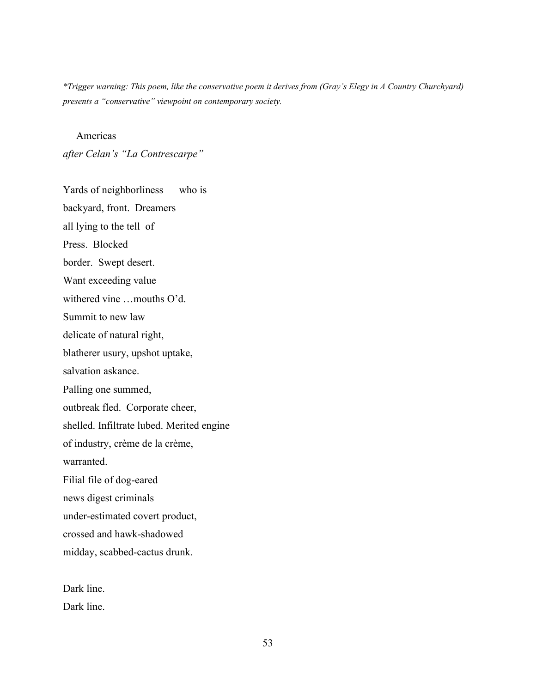*\*Trigger warning: This poem, like the conservative poem it derives from (Gray's Elegy in A Country Churchyard) presents a "conservative" viewpoint on contemporary society.* 

Americas

*after Celan's "La Contrescarpe"* 

Yards of neighborliness who is backyard, front. Dreamers all lying to the tell of Press. Blocked border. Swept desert. Want exceeding value withered vine …mouths O'd. Summit to new law delicate of natural right, blatherer usury, upshot uptake, salvation askance. Palling one summed, outbreak fled. Corporate cheer, shelled. Infiltrate lubed. Merited engine of industry, crème de la crème, warranted. Filial file of dog-eared news digest criminals under-estimated covert product, crossed and hawk-shadowed midday, scabbed-cactus drunk.

Dark line. Dark line.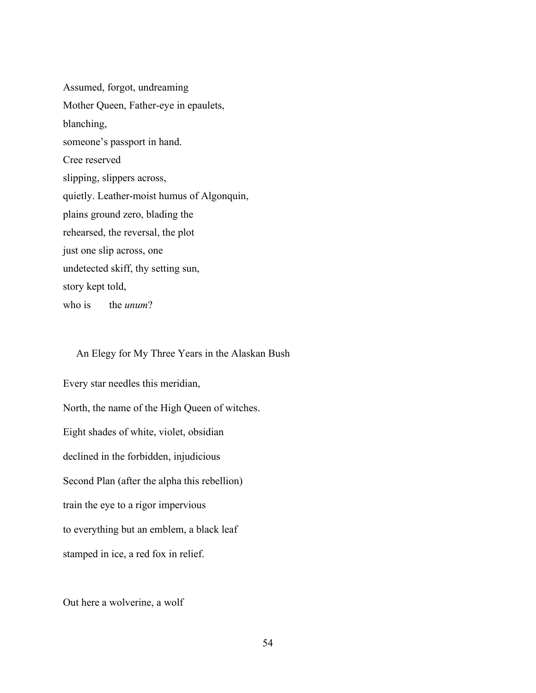Assumed, forgot, undreaming Mother Queen, Father-eye in epaulets, blanching, someone's passport in hand. Cree reserved slipping, slippers across, quietly. Leather-moist humus of Algonquin, plains ground zero, blading the rehearsed, the reversal, the plot just one slip across, one undetected skiff, thy setting sun, story kept told,

who is the *unum*?

## An Elegy for My Three Years in the Alaskan Bush

Every star needles this meridian, North, the name of the High Queen of witches. Eight shades of white, violet, obsidian declined in the forbidden, injudicious Second Plan (after the alpha this rebellion) train the eye to a rigor impervious to everything but an emblem, a black leaf stamped in ice, a red fox in relief.

Out here a wolverine, a wolf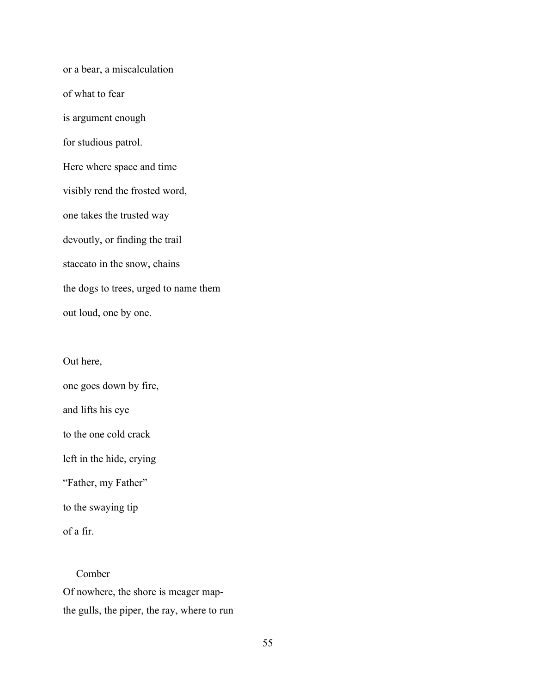or a bear, a miscalculation of what to fear is argument enough for studious patrol. Here where space and time visibly rend the frosted word, one takes the trusted way devoutly, or finding the trail staccato in the snow, chains the dogs to trees, urged to name them out loud, one by one.

Out here,

one goes down by fire,

and lifts his eye

to the one cold crack

left in the hide, crying

"Father, my Father"

to the swaying tip

of a fir.

Comber Of nowhere, the shore is meager mapthe gulls, the piper, the ray, where to run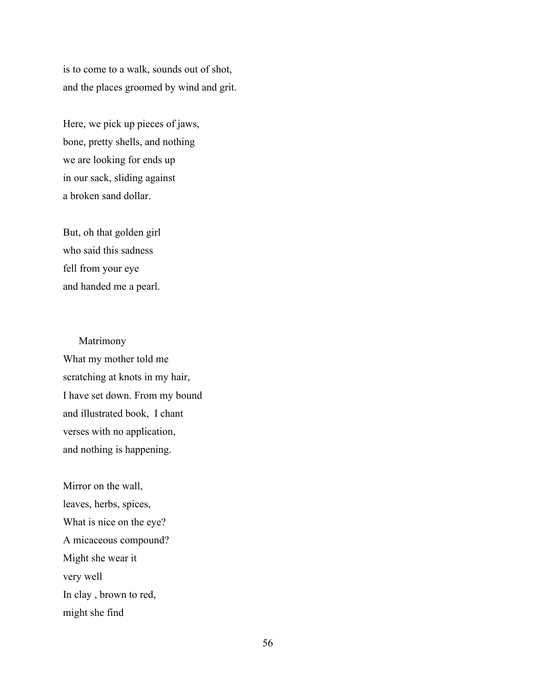is to come to a walk, sounds out of shot, and the places groomed by wind and grit.

Here, we pick up pieces of jaws, bone, pretty shells, and nothing we are looking for ends up in our sack, sliding against a broken sand dollar.

But, oh that golden girl who said this sadness fell from your eye and handed me a pearl.

Matrimony What my mother told me scratching at knots in my hair, I have set down. From my bound and illustrated book, I chant verses with no application, and nothing is happening.

Mirror on the wall, leaves, herbs, spices, What is nice on the eye? A micaceous compound? Might she wear it very well In clay , brown to red, might she find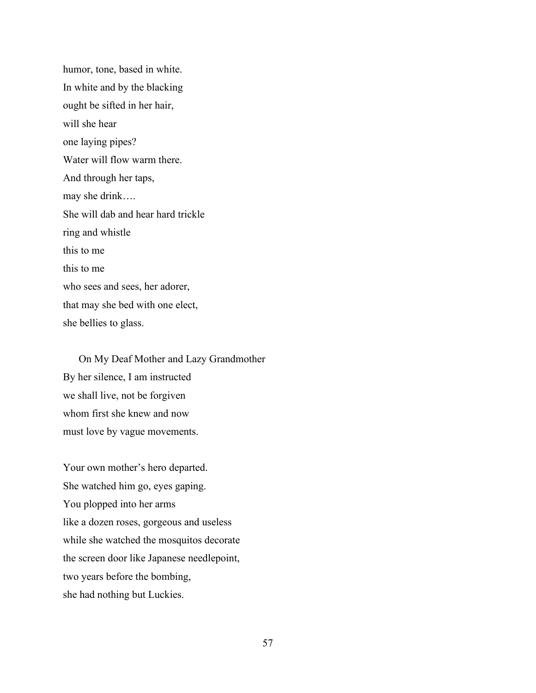humor, tone, based in white. In white and by the blacking ought be sifted in her hair, will she hear one laying pipes? Water will flow warm there. And through her taps, may she drink…. She will dab and hear hard trickle ring and whistle this to me this to me who sees and sees, her adorer, that may she bed with one elect, she bellies to glass.

On My Deaf Mother and Lazy Grandmother By her silence, I am instructed we shall live, not be forgiven whom first she knew and now must love by vague movements.

Your own mother's hero departed. She watched him go, eyes gaping. You plopped into her arms like a dozen roses, gorgeous and useless while she watched the mosquitos decorate the screen door like Japanese needlepoint, two years before the bombing, she had nothing but Luckies.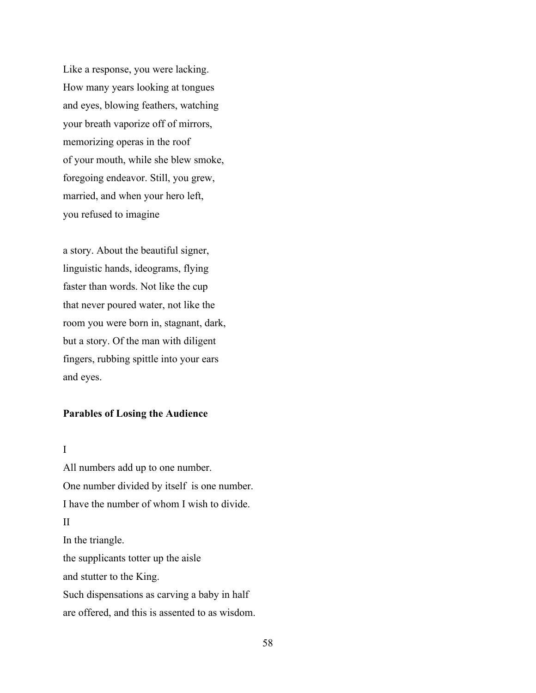Like a response, you were lacking. How many years looking at tongues and eyes, blowing feathers, watching your breath vaporize off of mirrors, memorizing operas in the roof of your mouth, while she blew smoke, foregoing endeavor. Still, you grew, married, and when your hero left, you refused to imagine

a story. About the beautiful signer, linguistic hands, ideograms, flying faster than words. Not like the cup that never poured water, not like the room you were born in, stagnant, dark, but a story. Of the man with diligent fingers, rubbing spittle into your ears and eyes.

## **Parables of Losing the Audience**

#### I

All numbers add up to one number. One number divided by itself is one number. I have the number of whom I wish to divide. II In the triangle. the supplicants totter up the aisle and stutter to the King. Such dispensations as carving a baby in half are offered, and this is assented to as wisdom.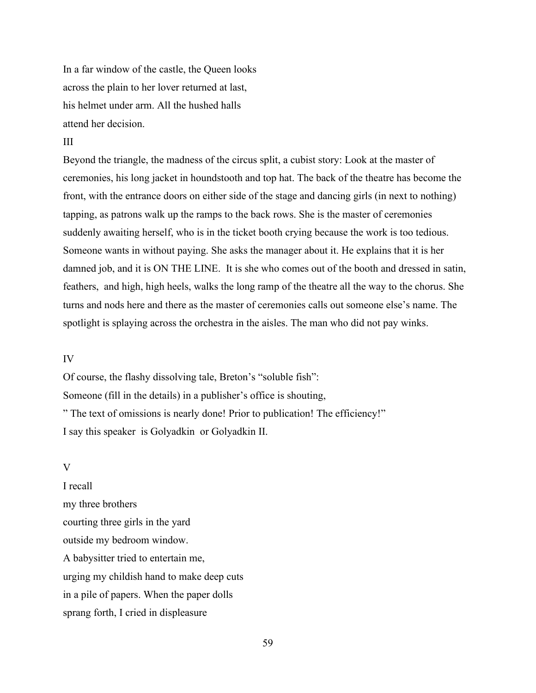In a far window of the castle, the Queen looks across the plain to her lover returned at last, his helmet under arm. All the hushed halls attend her decision.

## III

Beyond the triangle, the madness of the circus split, a cubist story: Look at the master of ceremonies, his long jacket in houndstooth and top hat. The back of the theatre has become the front, with the entrance doors on either side of the stage and dancing girls (in next to nothing) tapping, as patrons walk up the ramps to the back rows. She is the master of ceremonies suddenly awaiting herself, who is in the ticket booth crying because the work is too tedious. Someone wants in without paying. She asks the manager about it. He explains that it is her damned job, and it is ON THE LINE. It is she who comes out of the booth and dressed in satin, feathers, and high, high heels, walks the long ramp of the theatre all the way to the chorus. She turns and nods here and there as the master of ceremonies calls out someone else's name. The spotlight is splaying across the orchestra in the aisles. The man who did not pay winks.

#### IV

Of course, the flashy dissolving tale, Breton's "soluble fish": Someone (fill in the details) in a publisher's office is shouting, " The text of omissions is nearly done! Prior to publication! The efficiency!" I say this speaker is Golyadkin or Golyadkin II.

## V

I recall my three brothers courting three girls in the yard outside my bedroom window. A babysitter tried to entertain me, urging my childish hand to make deep cuts in a pile of papers. When the paper dolls sprang forth, I cried in displeasure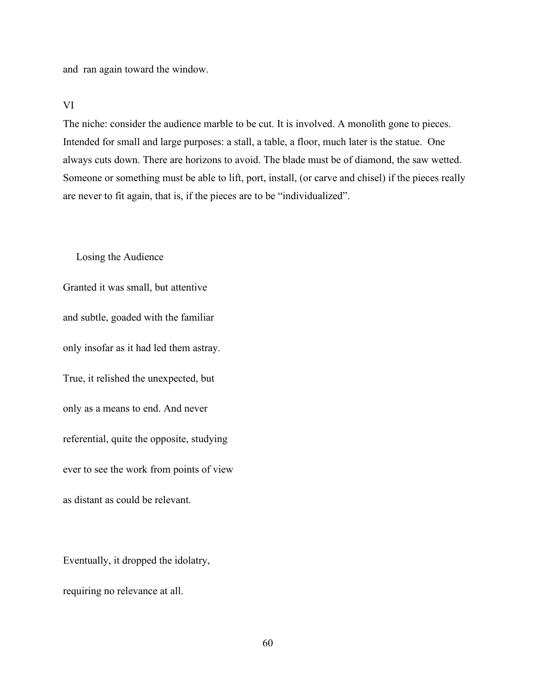and ran again toward the window.

#### VI

The niche: consider the audience marble to be cut. It is involved. A monolith gone to pieces. Intended for small and large purposes: a stall, a table, a floor, much later is the statue. One always cuts down. There are horizons to avoid. The blade must be of diamond, the saw wetted. Someone or something must be able to lift, port, install, (or carve and chisel) if the pieces really are never to fit again, that is, if the pieces are to be "individualized".

Losing the Audience

Granted it was small, but attentive and subtle, goaded with the familiar only insofar as it had led them astray. True, it relished the unexpected, but only as a means to end. And never referential, quite the opposite, studying ever to see the work from points of view as distant as could be relevant.

Eventually, it dropped the idolatry, requiring no relevance at all.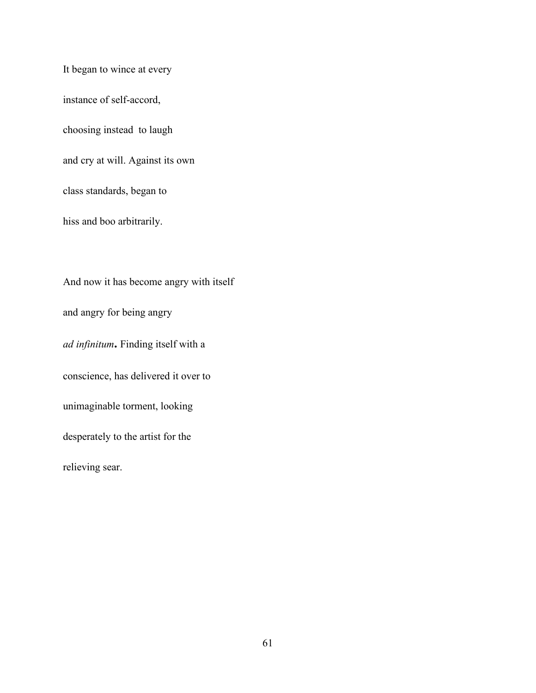It began to wince at every instance of self-accord, choosing instead to laugh and cry at will. Against its own class standards, began to hiss and boo arbitrarily.

And now it has become angry with itself and angry for being angry *ad infinitum***.** Finding itself with a conscience, has delivered it over to unimaginable torment, looking desperately to the artist for the relieving sear.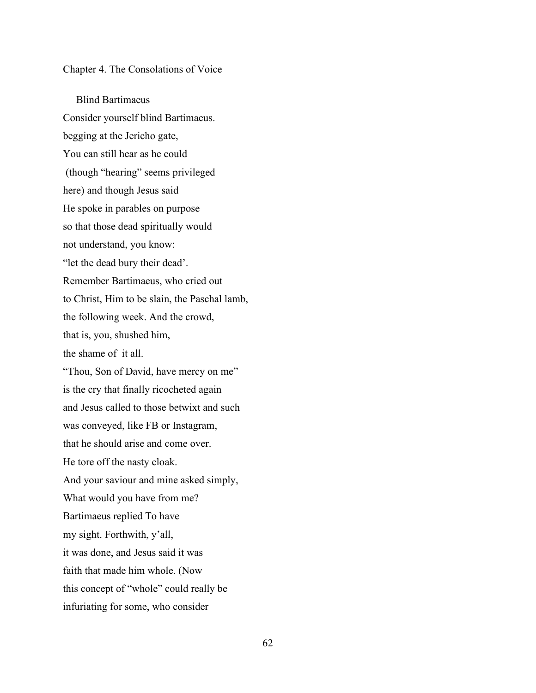Chapter 4. The Consolations of Voice

 Blind Bartimaeus Consider yourself blind Bartimaeus. begging at the Jericho gate, You can still hear as he could (though "hearing" seems privileged here) and though Jesus said He spoke in parables on purpose so that those dead spiritually would not understand, you know: "let the dead bury their dead'. Remember Bartimaeus, who cried out to Christ, Him to be slain, the Paschal lamb, the following week. And the crowd, that is, you, shushed him, the shame of it all. "Thou, Son of David, have mercy on me" is the cry that finally ricocheted again and Jesus called to those betwixt and such was conveyed, like FB or Instagram, that he should arise and come over. He tore off the nasty cloak. And your saviour and mine asked simply, What would you have from me? Bartimaeus replied To have my sight. Forthwith, y'all, it was done, and Jesus said it was faith that made him whole. (Now this concept of "whole" could really be infuriating for some, who consider

62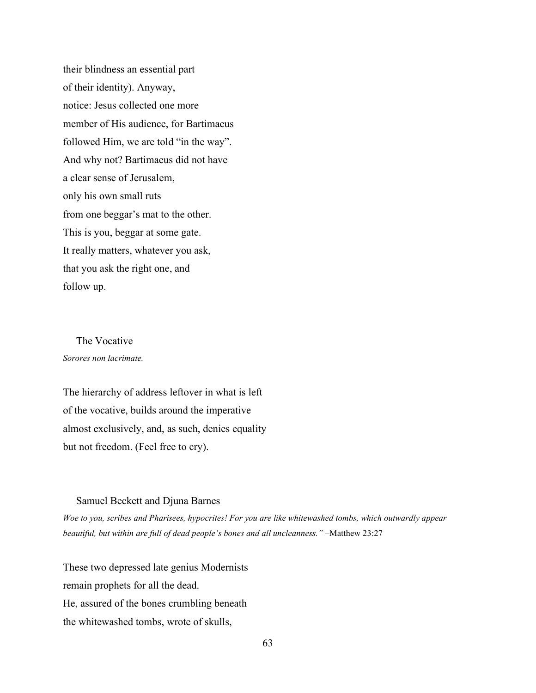their blindness an essential part of their identity). Anyway, notice: Jesus collected one more member of His audience, for Bartimaeus followed Him, we are told "in the way". And why not? Bartimaeus did not have a clear sense of Jerusalem, only his own small ruts from one beggar's mat to the other. This is you, beggar at some gate. It really matters, whatever you ask, that you ask the right one, and follow up.

 The Vocative *Sorores non lacrimate.*

The hierarchy of address leftover in what is left of the vocative, builds around the imperative almost exclusively, and, as such, denies equality but not freedom. (Feel free to cry).

#### Samuel Beckett and Djuna Barnes

*Woe to you, scribes and Pharisees, hypocrites! For you are like whitewashed tombs, which outwardly appear beautiful, but within are full of dead people's bones and all uncleanness."* [–Matthew 23:27](https://biblia.com/bible/esv/Matt%2023.27)

These two depressed late genius Modernists remain prophets for all the dead. He, assured of the bones crumbling beneath the whitewashed tombs, wrote of skulls,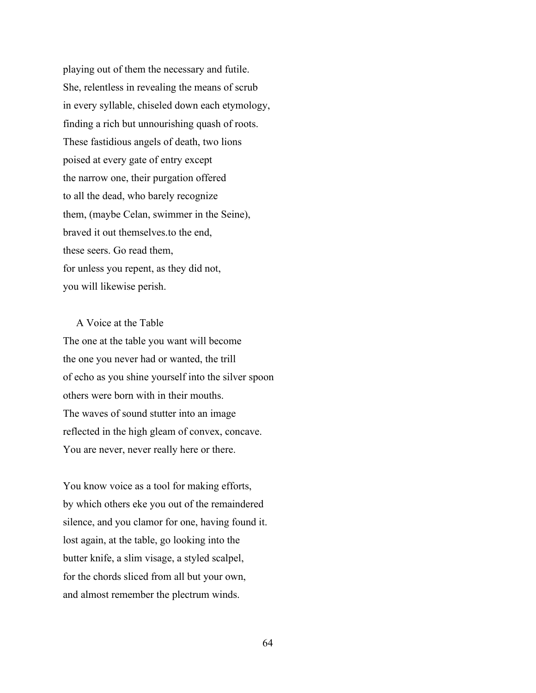playing out of them the necessary and futile. She, relentless in revealing the means of scrub in every syllable, chiseled down each etymology, finding a rich but unnourishing quash of roots. These fastidious angels of death, two lions poised at every gate of entry except the narrow one, their purgation offered to all the dead, who barely recognize them, (maybe Celan, swimmer in the Seine), braved it out themselves.to the end, these seers. Go read them, for unless you repent, as they did not, you will likewise perish.

A Voice at the Table The one at the table you want will become the one you never had or wanted, the trill of echo as you shine yourself into the silver spoon others were born with in their mouths. The waves of sound stutter into an image reflected in the high gleam of convex, concave. You are never, never really here or there.

You know voice as a tool for making efforts, by which others eke you out of the remaindered silence, and you clamor for one, having found it. lost again, at the table, go looking into the butter knife, a slim visage, a styled scalpel, for the chords sliced from all but your own, and almost remember the plectrum winds.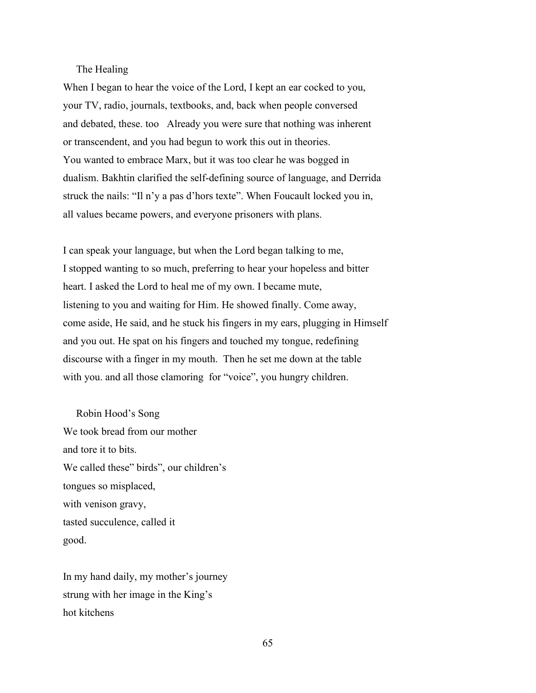# The Healing

When I began to hear the voice of the Lord, I kept an ear cocked to you, your TV, radio, journals, textbooks, and, back when people conversed and debated, these. too Already you were sure that nothing was inherent or transcendent, and you had begun to work this out in theories. You wanted to embrace Marx, but it was too clear he was bogged in dualism. Bakhtin clarified the self-defining source of language, and Derrida struck the nails: "Il n'y a pas d'hors texte". When Foucault locked you in, all values became powers, and everyone prisoners with plans.

I can speak your language, but when the Lord began talking to me, I stopped wanting to so much, preferring to hear your hopeless and bitter heart. I asked the Lord to heal me of my own. I became mute, listening to you and waiting for Him. He showed finally. Come away, come aside, He said, and he stuck his fingers in my ears, plugging in Himself and you out. He spat on his fingers and touched my tongue, redefining discourse with a finger in my mouth. Then he set me down at the table with you. and all those clamoring for "voice", you hungry children.

Robin Hood's Song We took bread from our mother and tore it to bits. We called these" birds", our children's tongues so misplaced, with venison gravy, tasted succulence, called it good.

In my hand daily, my mother's journey strung with her image in the King's hot kitchens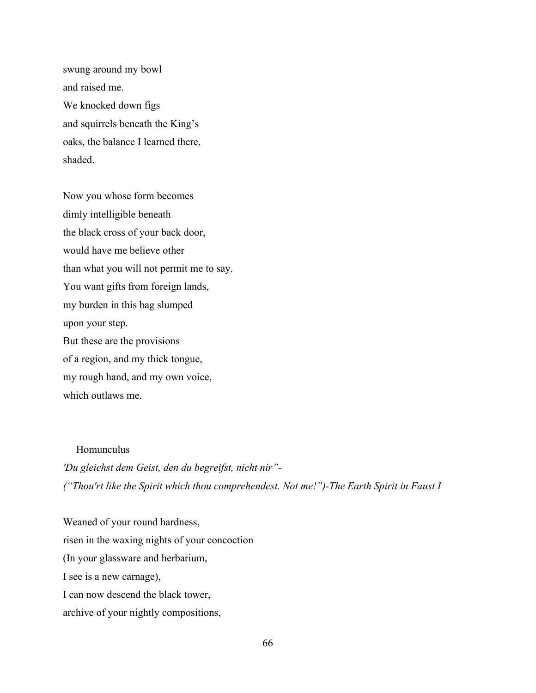swung around my bowl and raised me. We knocked down figs and squirrels beneath the King's oaks, the balance I learned there, shaded.

Now you whose form becomes dimly intelligible beneath the black cross of your back door, would have me believe other than what you will not permit me to say. You want gifts from foreign lands, my burden in this bag slumped upon your step. But these are the provisions of a region, and my thick tongue, my rough hand, and my own voice, which outlaws me.

Homunculus

*'Du gleichst dem Geist, den du begreifst, nicht nir"- ("Thou'rt like the Spirit which thou comprehendest. Not me!")-The Earth Spirit in Faust I* 

Weaned of your round hardness, risen in the waxing nights of your concoction (In your glassware and herbarium, I see is a new carnage), I can now descend the black tower, archive of your nightly compositions,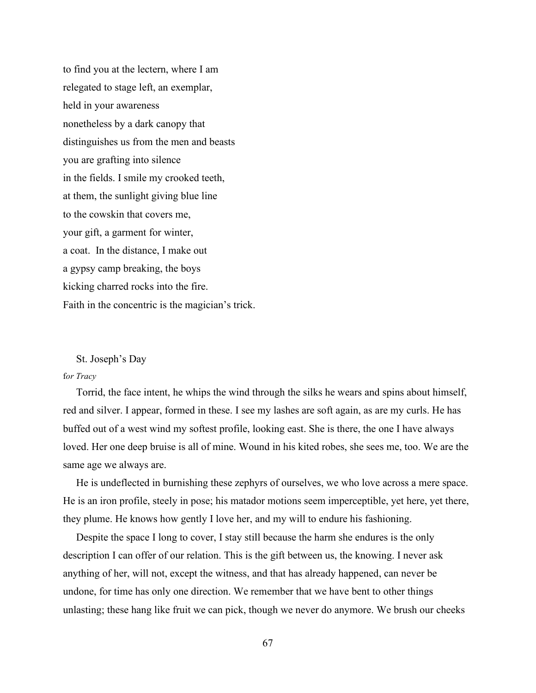to find you at the lectern, where I am relegated to stage left, an exemplar, held in your awareness nonetheless by a dark canopy that distinguishes us from the men and beasts you are grafting into silence in the fields. I smile my crooked teeth, at them, the sunlight giving blue line to the cowskin that covers me, your gift, a garment for winter, a coat. In the distance, I make out a gypsy camp breaking, the boys kicking charred rocks into the fire. Faith in the concentric is the magician's trick.

#### St. Joseph's Day

### f*or Tracy*

 Torrid, the face intent, he whips the wind through the silks he wears and spins about himself, red and silver. I appear, formed in these. I see my lashes are soft again, as are my curls. He has buffed out of a west wind my softest profile, looking east. She is there, the one I have always loved. Her one deep bruise is all of mine. Wound in his kited robes, she sees me, too. We are the same age we always are.

 He is undeflected in burnishing these zephyrs of ourselves, we who love across a mere space. He is an iron profile, steely in pose; his matador motions seem imperceptible, yet here, yet there, they plume. He knows how gently I love her, and my will to endure his fashioning.

 Despite the space I long to cover, I stay still because the harm she endures is the only description I can offer of our relation. This is the gift between us, the knowing. I never ask anything of her, will not, except the witness, and that has already happened, can never be undone, for time has only one direction. We remember that we have bent to other things unlasting; these hang like fruit we can pick, though we never do anymore. We brush our cheeks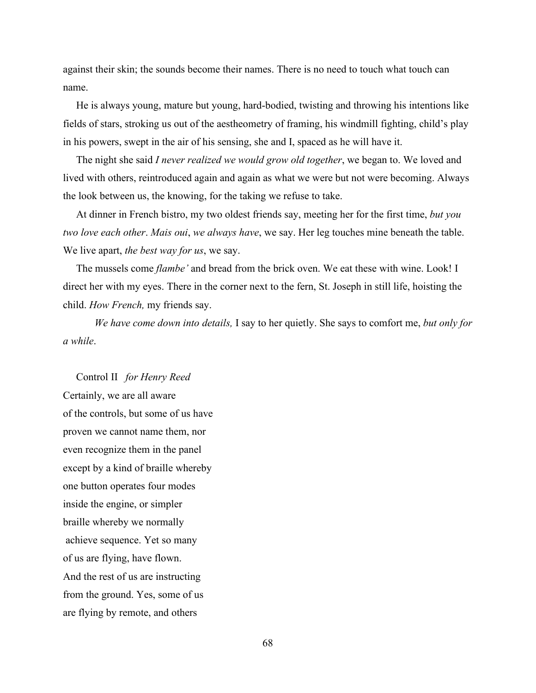against their skin; the sounds become their names. There is no need to touch what touch can name.

 He is always young, mature but young, hard-bodied, twisting and throwing his intentions like fields of stars, stroking us out of the aestheometry of framing, his windmill fighting, child's play in his powers, swept in the air of his sensing, she and I, spaced as he will have it.

 The night she said *I never realized we would grow old together*, we began to. We loved and lived with others, reintroduced again and again as what we were but not were becoming. Always the look between us, the knowing, for the taking we refuse to take.

 At dinner in French bistro, my two oldest friends say, meeting her for the first time, *but you two love each other*. *Mais oui*, *we always have*, we say. Her leg touches mine beneath the table. We live apart, *the best way for us*, we say.

 The mussels come *flambe'* and bread from the brick oven. We eat these with wine. Look! I direct her with my eyes. There in the corner next to the fern, St. Joseph in still life, hoisting the child. *How French,* my friends say.

*We have come down into details,* I say to her quietly. She says to comfort me, *but only for a while*.

 Control II*for Henry Reed* Certainly, we are all aware of the controls, but some of us have proven we cannot name them, nor even recognize them in the panel except by a kind of braille whereby one button operates four modes inside the engine, or simpler braille whereby we normally achieve sequence. Yet so many of us are flying, have flown. And the rest of us are instructing from the ground. Yes, some of us are flying by remote, and others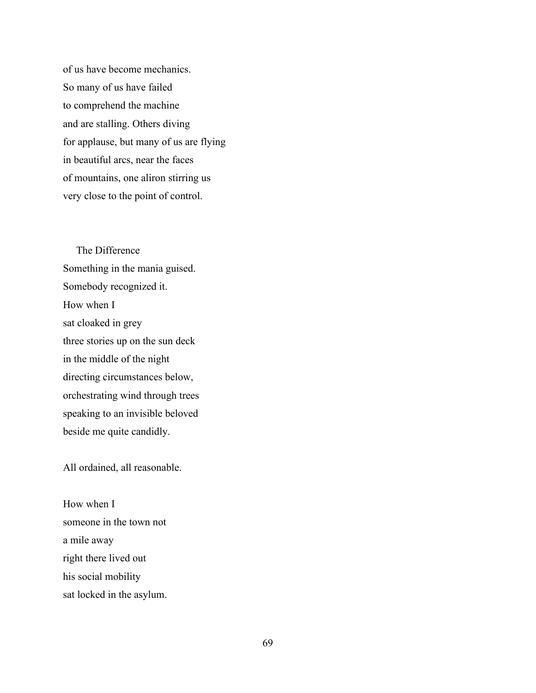of us have become mechanics. So many of us have failed to comprehend the machine and are stalling. Others diving for applause, but many of us are flying in beautiful arcs, near the faces of mountains, one aliron stirring us very close to the point of control.

The Difference Something in the mania guised. Somebody recognized it. How when I sat cloaked in grey three stories up on the sun deck in the middle of the night directing circumstances below, orchestrating wind through trees speaking to an invisible beloved beside me quite candidly.

All ordained, all reasonable.

How when I someone in the town not a mile away right there lived out his social mobility sat locked in the asylum.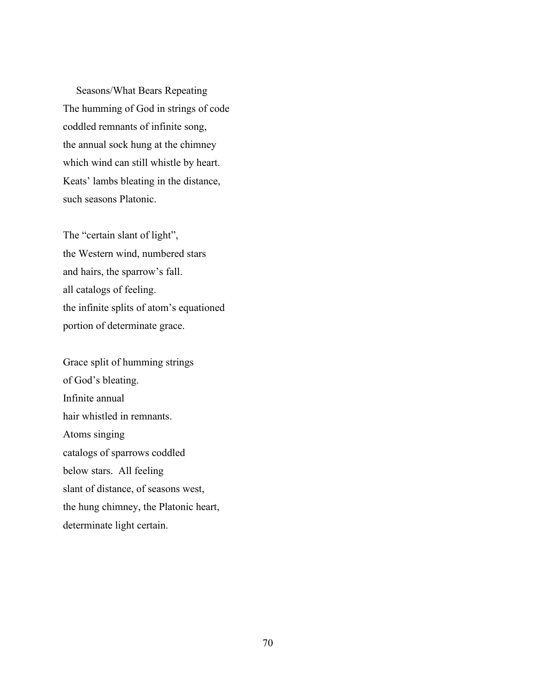Seasons/What Bears Repeating The humming of God in strings of code coddled remnants of infinite song, the annual sock hung at the chimney which wind can still whistle by heart. Keats' lambs bleating in the distance, such seasons Platonic.

The "certain slant of light", the Western wind, numbered stars and hairs, the sparrow's fall. all catalogs of feeling. the infinite splits of atom's equationed portion of determinate grace.

Grace split of humming strings of God's bleating. Infinite annual hair whistled in remnants. Atoms singing catalogs of sparrows coddled below stars. All feeling slant of distance, of seasons west, the hung chimney, the Platonic heart, determinate light certain.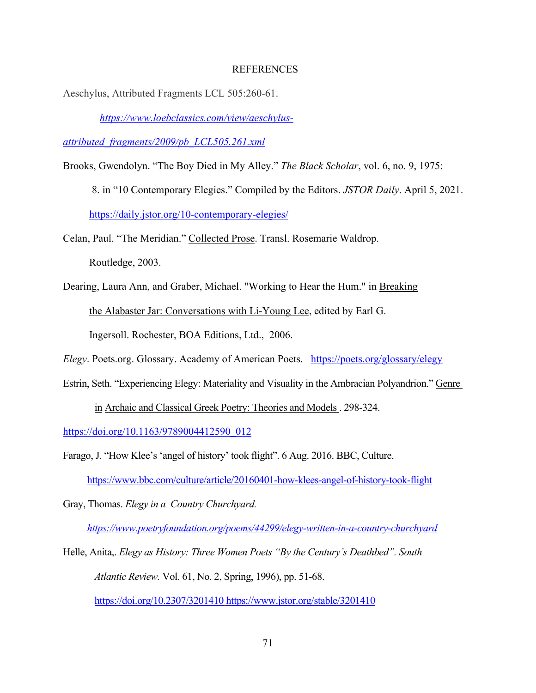## **REFERENCES**

Aeschylus, Attributed Fragments LCL 505:260-61.

*[https://www.loebclassics.com/view/aeschylus-](https://www.loebclassics.com/view/aeschylus-attributed_fragments/2009/pb_LCL505.261.xml)*

*[attributed\\_fragments/2009/pb\\_LCL505.261.xml](https://www.loebclassics.com/view/aeschylus-attributed_fragments/2009/pb_LCL505.261.xml)*

Brooks, Gwendolyn. "The Boy Died in My Alley." *The Black Scholar*, vol. 6, no. 9, 1975:

8. in "10 Contemporary Elegies." Compiled by the Editors. *JSTOR Daily*. April 5, 2021.

<https://daily.jstor.org/10-contemporary-elegies/>

Celan, Paul. "The Meridian." Collected Prose. Transl. Rosemarie Waldrop. Routledge, 2003.

Dearing, Laura Ann, and Graber, Michael. "Working to Hear the Hum." in Breaking the Alabaster Jar: Conversations with Li-Young Lee, edited by Earl G.

Ingersoll. Rochester, BOA Editions, Ltd., 2006.

*Elegy*. Poets.org. Glossary. Academy of American Poets. <https://poets.org/glossary/elegy>

Estrin, Seth. "Experiencing Elegy: Materiality and Visuality in the Ambracian Polyandrion." Genre

in Archaic and Classical Greek Poetry: Theories and Models . 298-324.

[https://doi.org/10.1163/9789004412590\\_012](https://doi.org/10.1163/9789004412590_012) 

Farago, J. "How Klee's 'angel of history' took flight". 6 Aug. 2016. BBC, Culture. <https://www.bbc.com/culture/article/20160401-how-klees-angel-of-history-took-flight>

Gray, Thomas. *Elegy in a Country Churchyard.* 

 *<https://www.poetryfoundation.org/poems/44299/elegy-written-in-a-country-churchyard>*

Helle, Anita,. *Elegy as History: Three Women Poets "By the Century's Deathbed". South Atlantic Review.* Vol. 61, No. 2, Spring, 1996), pp. 51-68.

<https://doi.org/10.2307/3201410> <https://www.jstor.org/stable/3201410>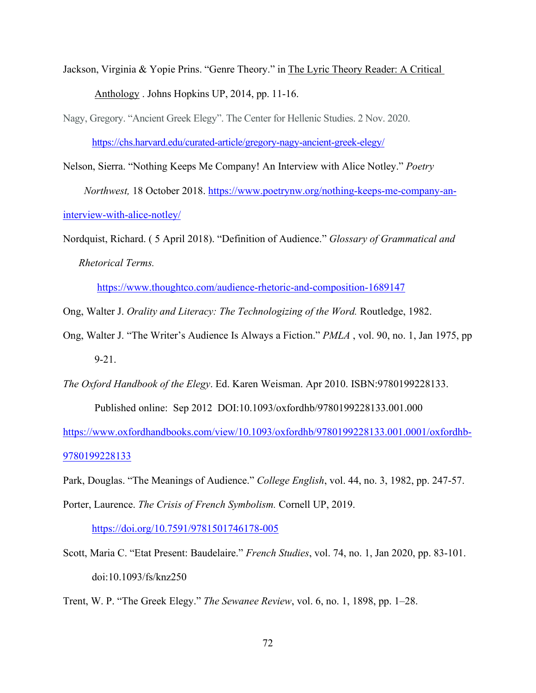Jackson, Virginia & Yopie Prins. "Genre Theory." in The Lyric Theory Reader: A Critical Anthology . Johns Hopkins UP, 2014, pp. 11-16.

Nagy, Gregory. "Ancient Greek Elegy". The Center for Hellenic Studies. 2 Nov. 2020.

<https://chs.harvard.edu/curated-article/gregory-nagy-ancient-greek-elegy/>

Nelson, Sierra. "Nothing Keeps Me Company! An Interview with Alice Notley." *Poetry Northwest,* 18 October 2018. [https://www.poetrynw.org/nothing-keeps-me-company-an](https://www.poetrynw.org/nothing-keeps-me-company-an-interview-with-alice-notley/)[interview-with-alice-notley/](https://www.poetrynw.org/nothing-keeps-me-company-an-interview-with-alice-notley/) 

Nordquist, Richard. ( 5 April 2018). "Definition of Audience." *Glossary of Grammatical and Rhetorical Terms.* 

<https://www.thoughtco.com/audience-rhetoric-and-composition-1689147>

Ong, Walter J. *Orality and Literacy: The Technologizing of the Word.* Routledge, 1982.

Ong, Walter J. "The Writer's Audience Is Always a Fiction." *PMLA* , vol. 90, no. 1, Jan 1975, pp 9-21.

*The Oxford Handbook of the Elegy*. Ed. Karen Weisman. Apr 2010. ISBN:9780199228133. Published online: Sep 2012 DOI:10.1093/oxfordhb/9780199228133.001.000

[https://www.oxfordhandbooks.com/view/10.1093/oxfordhb/9780199228133.001.0001/oxfordhb-](https://www.oxfordhandbooks.com/view/10.1093/oxfordhb/9780199228133.001.0001/oxfordhb-9780199228133)[9780199228133](https://www.oxfordhandbooks.com/view/10.1093/oxfordhb/9780199228133.001.0001/oxfordhb-9780199228133)

Park, Douglas. "The Meanings of Audience." *College English*, vol. 44, no. 3, 1982, pp. 247-57.

Porter, Laurence. *The Crisis of French Symbolism.* Cornell UP, 2019.

<https://doi.org/10.7591/9781501746178-005>

Scott, Maria C. "Etat Present: Baudelaire." *French Studies*, vol. 74, no. 1, Jan 2020, pp. 83-101. doi:10.1093/fs/knz250

Trent, W. P. "The Greek Elegy." *The Sewanee Review*, vol. 6, no. 1, 1898, pp. 1–28.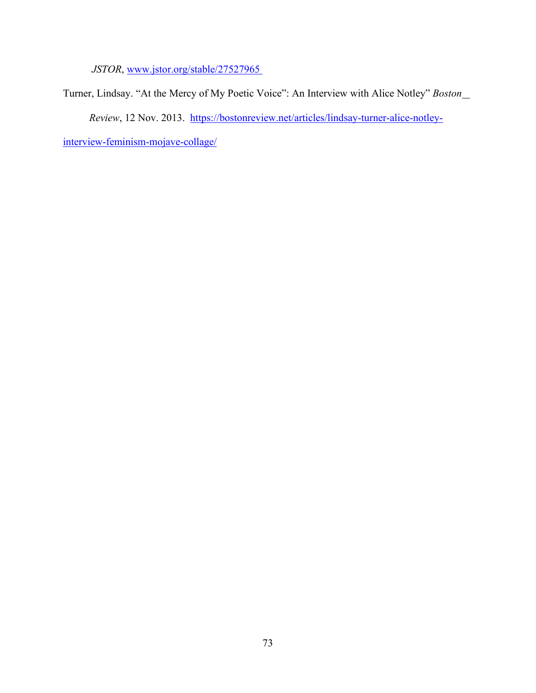*JSTOR*, [www.jstor.org/stable/27527965](http://www.jstor.org/stable/27527965) 

Turner, Lindsay. "At the Mercy of My Poetic Voice": An Interview with Alice Notley" *Boston Review*, 12 Nov. 2013. [https://bostonreview.net/articles/lindsay-turner-alice-notley-](https://bostonreview.net/articles/lindsay-turner-alice-notley-interview-feminism-mojave-collage/)

[interview-feminism-mojave-collage/](https://bostonreview.net/articles/lindsay-turner-alice-notley-interview-feminism-mojave-collage/)